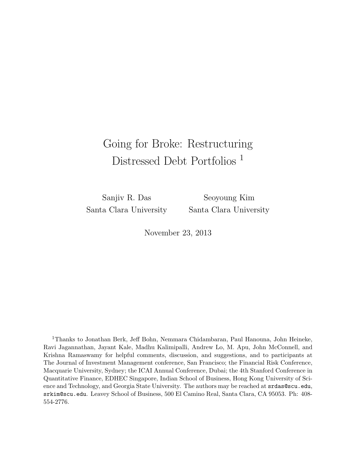# Going for Broke: Restructuring Distressed Debt Portfolios <sup>1</sup>

Sanjiv R. Das Santa Clara University

Seoyoung Kim Santa Clara University

November 23, 2013

<sup>1</sup>Thanks to Jonathan Berk, Jeff Bohn, Nemmara Chidambaran, Paul Hanouna, John Heineke, Ravi Jagannathan, Jayant Kale, Madhu Kalimipalli, Andrew Lo, M. Apu, John McConnell, and Krishna Ramaswamy for helpful comments, discussion, and suggestions, and to participants at The Journal of Investment Management conference, San Francisco; the Financial Risk Conference, Macquarie University, Sydney; the ICAI Annual Conference, Dubai; the 4th Stanford Conference in Quantitative Finance, EDHEC Singapore, Indian School of Business, Hong Kong University of Science and Technology, and Georgia State University. The authors may be reached at srdas@scu.edu, srkim@scu.edu. Leavey School of Business, 500 El Camino Real, Santa Clara, CA 95053. Ph: 408- 554-2776.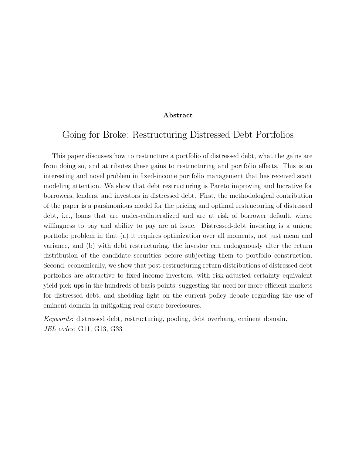#### Abstract

### Going for Broke: Restructuring Distressed Debt Portfolios

This paper discusses how to restructure a portfolio of distressed debt, what the gains are from doing so, and attributes these gains to restructuring and portfolio effects. This is an interesting and novel problem in fixed-income portfolio management that has received scant modeling attention. We show that debt restructuring is Pareto improving and lucrative for borrowers, lenders, and investors in distressed debt. First, the methodological contribution of the paper is a parsimonious model for the pricing and optimal restructuring of distressed debt, i.e., loans that are under-collateralized and are at risk of borrower default, where willingness to pay and ability to pay are at issue. Distressed-debt investing is a unique portfolio problem in that (a) it requires optimization over all moments, not just mean and variance, and (b) with debt restructuring, the investor can endogenously alter the return distribution of the candidate securities before subjecting them to portfolio construction. Second, economically, we show that post-restructuring return distributions of distressed debt portfolios are attractive to fixed-income investors, with risk-adjusted certainty equivalent yield pick-ups in the hundreds of basis points, suggesting the need for more efficient markets for distressed debt, and shedding light on the current policy debate regarding the use of eminent domain in mitigating real estate foreclosures.

Keywords: distressed debt, restructuring, pooling, debt overhang, eminent domain. JEL codes: G11, G13, G33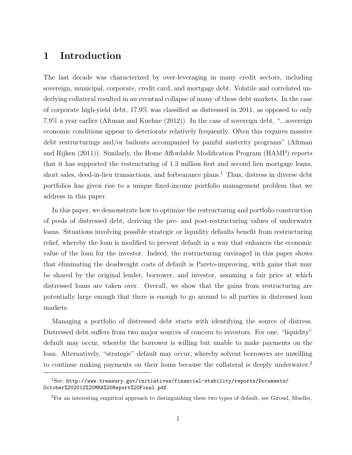# 1 Introduction

The last decade was characterized by over-leveraging in many credit sectors, including sovereign, municipal, corporate, credit card, and mortgage debt. Volatile and correlated underlying collateral resulted in an eventual collapse of many of these debt markets. In the case of corporate high-yield debt, 17.9% was classified as distressed in 2011, as opposed to only 7.9% a year earlier (Altman and Kuehne (2012)). In the case of sovereign debt, "...sovereign economic conditions appear to deteriorate relatively frequently. Often this requires massive debt restructurings and/or bailouts accompanied by painful austerity programs" (Altman and Rijken (2011)). Similarly, the Home Affordable Modification Program (HAMP) reports that it has supported the restructuring of 1.3 million first and second lien mortgage loans, short sales, deed-in-lieu transactions, and forbearance plans.<sup>1</sup> Thus, distress in diverse debt portfolios has given rise to a unique fixed-income portfolio management problem that we address in this paper.

In this paper, we demonstrate how to optimize the restructuring and portfolio construction of pools of distressed debt, deriving the pre- and post-restructuring values of underwater loans. Situations involving possible strategic or liquidity defaults benefit from restructuring relief, whereby the loan is modified to prevent default in a way that enhances the economic value of the loan for the investor. Indeed, the restructuring envisaged in this paper shows that eliminating the deadweight costs of default is Pareto-improving, with gains that may be shared by the original lender, borrower, and investor, assuming a fair price at which distressed loans are taken over. Overall, we show that the gains from restructuring are potentially large enough that there is enough to go around to all parties in distressed loan markets.

Managing a portfolio of distressed debt starts with identifying the source of distress. Distressed debt suffers from two major sources of concern to investors. For one, "liquidity" default may occur, whereby the borrower is willing but unable to make payments on the loan. Alternatively, "strategic" default may occur, whereby solvent borrowers are unwilling to continue making payments on their loans because the collateral is deeply underwater.<sup>2</sup>

 $1$ See: http://www.treasury.gov/initiatives/financial-stability/reports/Documents/ October%202012%20MHA%20Report%20Final.pdf.

<sup>&</sup>lt;sup>2</sup>For an interesting empirical approach to distinguishing these two types of default, see Giroud, Mueller,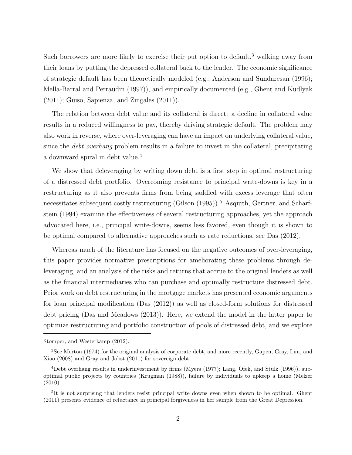Such borrowers are more likely to exercise their put option to default,<sup>3</sup> walking away from their loans by putting the depressed collateral back to the lender. The economic significance of strategic default has been theoretically modeled (e.g., Anderson and Sundaresan (1996); Mella-Barral and Perraudin (1997)), and empirically documented (e.g., Ghent and Kudlyak (2011); Guiso, Sapienza, and Zingales (2011)).

The relation between debt value and its collateral is direct: a decline in collateral value results in a reduced willingness to pay, thereby driving strategic default. The problem may also work in reverse, where over-leveraging can have an impact on underlying collateral value, since the *debt overhang* problem results in a failure to invest in the collateral, precipitating a downward spiral in debt value.<sup>4</sup>

We show that deleveraging by writing down debt is a first step in optimal restructuring of a distressed debt portfolio. Overcoming resistance to principal write-downs is key in a restructuring as it also prevents firms from being saddled with excess leverage that often necessitates subsequent costly restructuring (Gilson  $(1995)$ ).<sup>5</sup> Asquith, Gertner, and Scharfstein (1994) examine the effectiveness of several restructuring approaches, yet the approach advocated here, i.e., principal write-downs, seems less favored, even though it is shown to be optimal compared to alternative approaches such as rate reductions, see Das (2012).

Whereas much of the literature has focused on the negative outcomes of over-leveraging, this paper provides normative prescriptions for ameliorating these problems through deleveraging, and an analysis of the risks and returns that accrue to the original lenders as well as the financial intermediaries who can purchase and optimally restructure distressed debt. Prior work on debt restructuring in the mortgage markets has presented economic arguments for loan principal modification (Das (2012)) as well as closed-form solutions for distressed debt pricing (Das and Meadows (2013)). Here, we extend the model in the latter paper to optimize restructuring and portfolio construction of pools of distressed debt, and we explore

Stomper, and Westerkamp (2012).

<sup>&</sup>lt;sup>3</sup>See Merton (1974) for the original analysis of corporate debt, and more recently, Gapen, Gray, Lim, and Xiao (2008) and Gray and Jobst (2011) for sovereign debt.

<sup>4</sup>Debt overhang results in underinvestment by firms (Myers (1977); Lang, Ofek, and Stulz (1996)), suboptimal public projects by countries (Krugman (1988)), failure by individuals to upkeep a home (Melzer (2010).

<sup>5</sup> It is not surprising that lenders resist principal write downs even when shown to be optimal. Ghent (2011) presents evidence of reluctance in principal forgiveness in her sample from the Great Depression.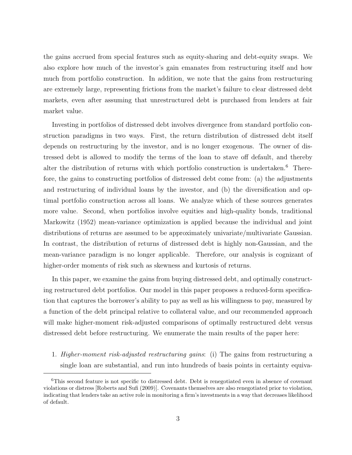the gains accrued from special features such as equity-sharing and debt-equity swaps. We also explore how much of the investor's gain emanates from restructuring itself and how much from portfolio construction. In addition, we note that the gains from restructuring are extremely large, representing frictions from the market's failure to clear distressed debt markets, even after assuming that unrestructured debt is purchased from lenders at fair market value.

Investing in portfolios of distressed debt involves divergence from standard portfolio construction paradigms in two ways. First, the return distribution of distressed debt itself depends on restructuring by the investor, and is no longer exogenous. The owner of distressed debt is allowed to modify the terms of the loan to stave off default, and thereby alter the distribution of returns with which portfolio construction is undertaken.<sup>6</sup> Therefore, the gains to constructing portfolios of distressed debt come from: (a) the adjustments and restructuring of individual loans by the investor, and (b) the diversification and optimal portfolio construction across all loans. We analyze which of these sources generates more value. Second, when portfolios involve equities and high-quality bonds, traditional Markowitz (1952) mean-variance optimization is applied because the individual and joint distributions of returns are assumed to be approximately univariate/multivariate Gaussian. In contrast, the distribution of returns of distressed debt is highly non-Gaussian, and the mean-variance paradigm is no longer applicable. Therefore, our analysis is cognizant of higher-order moments of risk such as skewness and kurtosis of returns.

In this paper, we examine the gains from buying distressed debt, and optimally constructing restructured debt portfolios. Our model in this paper proposes a reduced-form specification that captures the borrower's ability to pay as well as his willingness to pay, measured by a function of the debt principal relative to collateral value, and our recommended approach will make higher-moment risk-adjusted comparisons of optimally restructured debt versus distressed debt before restructuring. We enumerate the main results of the paper here:

1. Higher-moment risk-adjusted restructuring gains: (i) The gains from restructuring a single loan are substantial, and run into hundreds of basis points in certainty equiva-

<sup>&</sup>lt;sup>6</sup>This second feature is not specific to distressed debt. Debt is renegotiated even in absence of covenant violations or distress [Roberts and Sufi (2009)]. Covenants themselves are also renegotiated prior to violation, indicating that lenders take an active role in monitoring a firm's investments in a way that decreases likelihood of default.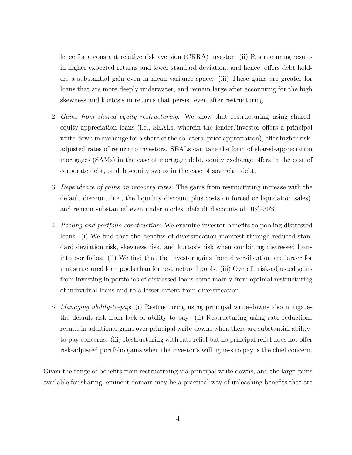lence for a constant relative risk aversion (CRRA) investor. (ii) Restructuring results in higher expected returns and lower standard deviation, and hence, offers debt holders a substantial gain even in mean-variance space. (iii) These gains are greater for loans that are more deeply underwater, and remain large after accounting for the high skewness and kurtosis in returns that persist even after restructuring.

- 2. Gains from shared equity restructuring: We show that restructuring using sharedequity-appreciation loans (i.e., SEALs, wherein the lender/investor offers a principal write-down in exchange for a share of the collateral price appreciation), offer higher riskadjusted rates of return to investors. SEALs can take the form of shared-appreciation mortgages (SAMs) in the case of mortgage debt, equity exchange offers in the case of corporate debt, or debt-equity swaps in the case of sovereign debt.
- 3. Dependence of gains on recovery rates: The gains from restructuring increase with the default discount (i.e., the liquidity discount plus costs on forced or liquidation sales), and remain substantial even under modest default discounts of 10%–30%.
- 4. Pooling and portfolio construction: We examine investor benefits to pooling distressed loans. (i) We find that the benefits of diversification manifest through reduced standard deviation risk, skewness risk, and kurtosis risk when combining distressed loans into portfolios. (ii) We find that the investor gains from diversification are larger for unrestructured loan pools than for restructured pools. (iii) Overall, risk-adjusted gains from investing in portfolios of distressed loans come mainly from optimal restructuring of individual loans and to a lesser extent from diversification.
- 5. Managing ability-to-pay: (i) Restructuring using principal write-downs also mitigates the default risk from lack of ability to pay. (ii) Restructuring using rate reductions results in additional gains over principal write-downs when there are substantial abilityto-pay concerns. (iii) Restructuring with rate relief but no principal relief does not offer risk-adjusted portfolio gains when the investor's willingness to pay is the chief concern.

Given the range of benefits from restructuring via principal write downs, and the large gains available for sharing, eminent domain may be a practical way of unleashing benefits that are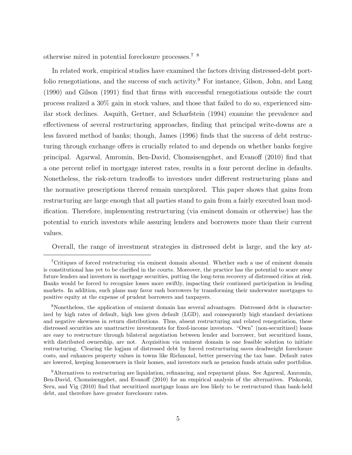otherwise mired in potential foreclosure processes.7 8

In related work, empirical studies have examined the factors driving distressed-debt portfolio renegotiations, and the success of such activity.<sup>9</sup> For instance, Gilson, John, and Lang (1990) and Gilson (1991) find that firms with successful renegotiations outside the court process realized a 30% gain in stock values, and those that failed to do so, experienced similar stock declines. Asquith, Gertner, and Scharfstein (1994) examine the prevalence and effectiveness of several restructuring approaches, finding that principal write-downs are a less favored method of banks; though, James (1996) finds that the success of debt restructuring through exchange offers is crucially related to and depends on whether banks forgive principal. Agarwal, Amromin, Ben-David, Chomsisengphet, and Evanoff (2010) find that a one percent relief in mortgage interest rates, results in a four percent decline in defaults. Nonetheless, the risk-return tradeoffs to investors under different restructuring plans and the normative prescriptions thereof remain unexplored. This paper shows that gains from restructuring are large enough that all parties stand to gain from a fairly executed loan modification. Therefore, implementing restructuring (via eminent domain or otherwise) has the potential to enrich investors while assuring lenders and borrowers more than their current values.

Overall, the range of investment strategies in distressed debt is large, and the key at-

<sup>8</sup>Nonetheless, the application of eminent domain has several advantages. Distressed debt is characterized by high rates of default, high loss given default (LGD), and consequently high standard deviations and negative skewness in return distributions. Thus, absent restructuring and related renegotiation, these distressed securities are unattractive investments for fixed-income investors. "Own" (non-securitized) loans are easy to restructure through bilateral negotiation between lender and borrower, but securitized loans, with distributed ownership, are not. Acquisition via eminent domain is one feasible solution to initiate restructuring. Clearing the logjam of distressed debt by forced restructuring saves deadweight foreclosure costs, and enhances property values in towns like Richmond, better preserving the tax base. Default rates are lowered, keeping homeowners in their homes, and investors such as pension funds attain safer portfolios.

<sup>9</sup>Alternatives to restructuring are liquidation, refinancing, and repayment plans. See Agarwal, Amromin, Ben-David, Chomsisengphet, and Evanoff (2010) for an empirical analysis of the alternatives. Piskorski, Seru, and Vig (2010) find that securitized mortgage loans are less likely to be restructured than bank-held debt, and therefore have greater foreclosure rates.

<sup>7</sup>Critiques of forced restructuring via eminent domain abound. Whether such a use of eminent domain is constitutional has yet to be clarified in the courts. Moreover, the practice has the potential to scare away future lenders and investors in mortgage securities, putting the long-term recovery of distressed cities at risk. Banks would be forced to recognize losses more swiftly, impacting their continued participation in lending markets. In addition, such plans may favor rash borrowers by transforming their underwater mortgages to positive equity at the expense of prudent borrowers and taxpayers.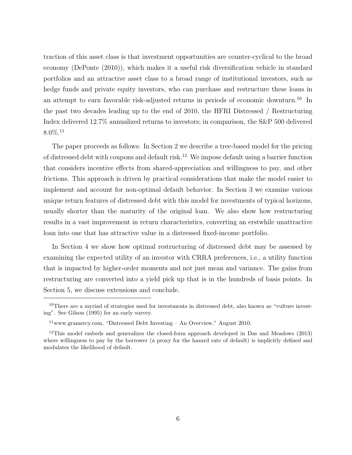traction of this asset class is that investment opportunities are counter-cyclical to the broad economy (DePonte (2010)), which makes it a useful risk diversification vehicle in standard portfolios and an attractive asset class to a broad range of institutional investors, such as hedge funds and private equity investors, who can purchase and restructure these loans in an attempt to earn favorable risk-adjusted returns in periods of economic downturn.<sup>10</sup> In the past two decades leading up to the end of 2010, the HFRI Distressed / Restructuring Index delivered 12.7% annualized returns to investors; in comparison, the S&P 500 delivered  $8.0\%$ <sup>11</sup>

The paper proceeds as follows: In Section 2 we describe a tree-based model for the pricing of distressed debt with coupons and default risk.<sup>12</sup> We impose default using a barrier function that considers incentive effects from shared-appreciation and willingness to pay, and other frictions. This approach is driven by practical considerations that make the model easier to implement and account for non-optimal default behavior. In Section 3 we examine various unique return features of distressed debt with this model for investments of typical horizons, usually shorter than the maturity of the original loan. We also show how restructuring results in a vast improvement in return characteristics, converting an erstwhile unattractive loan into one that has attractive value in a distressed fixed-income portfolio.

In Section 4 we show how optimal restructuring of distressed debt may be assessed by examining the expected utility of an investor with CRRA preferences, i.e., a utility function that is impacted by higher-order moments and not just mean and variance. The gains from restructuring are converted into a yield pick up that is in the hundreds of basis points. In Section 5, we discuss extensions and conclude.

 $10$ There are a myriad of strategies used for investments in distressed debt, also known as "vulture investing". See Gilson (1995) for an early survey.

 $11$ www.gramercy.com, "Distressed Debt Investing – An Overview," August 2010.

 $12$ This model embeds and generalizes the closed-form approach developed in Das and Meadows (2013) where willingness to pay by the borrower (a proxy for the hazard rate of default) is implicitly defined and modulates the likelihood of default.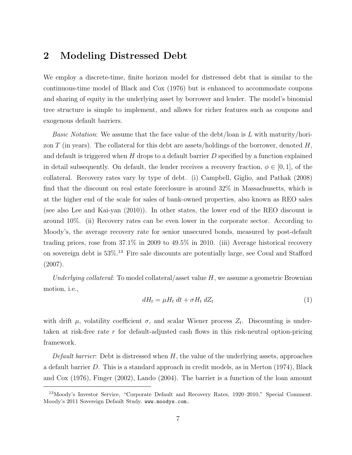## 2 Modeling Distressed Debt

We employ a discrete-time, finite horizon model for distressed debt that is similar to the continuous-time model of Black and Cox (1976) but is enhanced to accommodate coupons and sharing of equity in the underlying asset by borrower and lender. The model's binomial tree structure is simple to implement, and allows for richer features such as coupons and exogenous default barriers.

*Basic Notation*: We assume that the face value of the debt/loan is L with maturity/horizon T (in years). The collateral for this debt are assets/holdings of the borrower, denoted  $H$ , and default is triggered when  $H$  drops to a default barrier  $D$  specified by a function explained in detail subsequently. On default, the lender receives a recovery fraction,  $\phi \in [0,1]$ , of the collateral. Recovery rates vary by type of debt. (i) Campbell, Giglio, and Pathak (2008) find that the discount on real estate foreclosure is around 32% in Massachusetts, which is at the higher end of the scale for sales of bank-owned properties, also known as REO sales (see also Lee and Kai-yan (2010)). In other states, the lower end of the REO discount is around 10%. (ii) Recovery rates can be even lower in the corporate sector. According to Moody's, the average recovery rate for senior unsecured bonds, measured by post-default trading prices, rose from 37.1% in 2009 to 49.5% in 2010. (iii) Average historical recovery on sovereign debt is  $53\%$ .<sup>13</sup> Fire sale discounts are potentially large, see Coval and Stafford (2007).

Underlying collateral: To model collateral/asset value  $H$ , we assume a geometric Brownian motion, i.e.,

$$
dH_t = \mu H_t \, dt + \sigma H_t \, dZ_t \tag{1}
$$

with drift  $\mu$ , volatility coefficient  $\sigma$ , and scalar Wiener process  $Z_t$ . Discounting is undertaken at risk-free rate r for default-adjusted cash flows in this risk-neutral option-pricing framework.

Default barrier: Debt is distressed when  $H$ , the value of the underlying assets, approaches a default barrier D. This is a standard approach in credit models, as in Merton (1974), Black and Cox (1976), Finger (2002), Lando (2004). The barrier is a function of the loan amount

<sup>&</sup>lt;sup>13</sup>Moody's Investor Service, "Corporate Default and Recovery Rates, 1920–2010," Special Comment. Moody's 2011 Sovereign Default Study. www.moodys.com.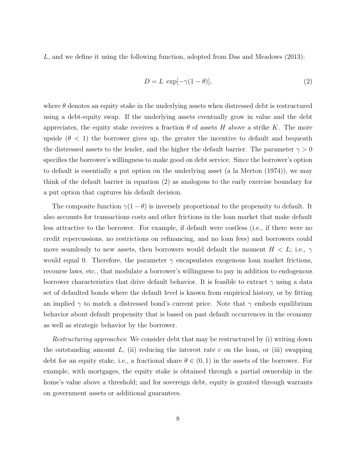L, and we define it using the following function, adopted from Das and Meadows (2013):

$$
D = L \, \exp[-\gamma(1 - \theta)],\tag{2}
$$

where  $\theta$  denotes an equity stake in the underlying assets when distressed debt is restructured using a debt-equity swap. If the underlying assets eventually grow in value and the debt appreciates, the equity stake receives a fraction  $\theta$  of assets H above a strike K. The more upside  $(\theta < 1)$  the borrower gives up, the greater the incentive to default and bequeath the distressed assets to the lender, and the higher the default barrier. The parameter  $\gamma > 0$ specifies the borrower's willingness to make good on debt service. Since the borrower's option to default is essentially a put option on the underlying asset (a la Merton (1974)), we may think of the default barrier in equation (2) as analogous to the early exercise boundary for a put option that captures his default decision.

The composite function  $\gamma(1-\theta)$  is inversely proportional to the propensity to default. It also accounts for transactions costs and other frictions in the loan market that make default less attractive to the borrower. For example, if default were costless (i.e., if there were no credit repercussions, no restrictions on refinancing, and no loan fees) and borrowers could move seamlessly to new assets, then borrowers would default the moment  $H < L$ ; i.e.,  $\gamma$ would equal 0. Therefore, the parameter  $\gamma$  encapsulates exogenous loan market frictions, recourse laws, etc., that modulate a borrower's willingness to pay in addition to endogenous borrower characteristics that drive default behavior. It is feasible to extract  $\gamma$  using a data set of defaulted bonds where the default level is known from empirical history, or by fitting an implied  $\gamma$  to match a distressed bond's current price. Note that  $\gamma$  embeds equilibrium behavior about default propensity that is based on past default occurrences in the economy as well as strategic behavior by the borrower.

Restructuring approaches: We consider debt that may be restructured by (i) writing down the outstanding amount  $L$ , (ii) reducing the interest rate c on the loan, or (iii) swapping debt for an equity stake, i.e., a fractional share  $\theta \in (0,1)$  in the assets of the borrower. For example, with mortgages, the equity stake is obtained through a partial ownership in the home's value above a threshold; and for sovereign debt, equity is granted through warrants on government assets or additional guarantees.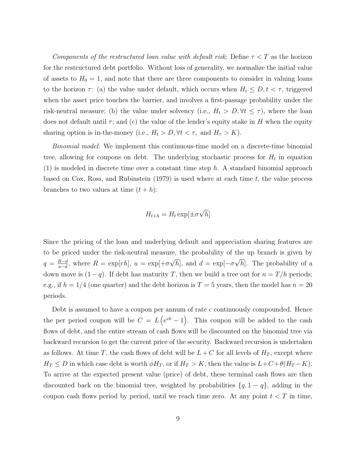Components of the restructured loan value with default risk: Define  $\tau < T$  as the horizon for the restructured debt portfolio. Without loss of generality, we normalize the initial value of assets to  $H_0 = 1$ , and note that there are three components to consider in valuing loans to the horizon  $\tau$ : (a) the value under default, which occurs when  $H_t \leq D, t < \tau$ , triggered when the asset price touches the barrier, and involves a first-passage probability under the risk-neutral measure; (b) the value under solvency (i.e.,  $H_t > D$ ,  $\forall t \leq \tau$ ), where the loan does not default until  $\tau$ ; and (c) the value of the lender's equity stake in H when the equity sharing option is in-the-money (i.e.,  $H_t > D$ ,  $\forall t < \tau$ , and  $H_{\tau} > K$ ).

Binomial model: We implement this continuous-time model on a discrete-time binomial tree, allowing for coupons on debt. The underlying stochastic process for  $H_t$  in equation  $(1)$  is modeled in discrete time over a constant time step h. A standard binomial approach based on Cox, Ross, and Rubinstein  $(1979)$  is used where at each time t, the value process branches to two values at time  $(t + h)$ :

$$
H_{t+h} = H_t \exp[\pm \sigma \sqrt{h}]
$$

Since the pricing of the loan and underlying default and appreciation sharing features are to be priced under the risk-neutral measure, the probability of the up branch is given by  $q = \frac{R-d}{n-d}$  $\frac{R-d}{u-d}$ , where  $R = \exp[rh]$ ,  $u = \exp[+\sigma]$ √ h], and  $d = \exp[-\sigma]$ √ h. The probability of a down move is  $(1 - q)$ . If debt has maturity T, then we build a tree out for  $n = T/h$  periods; e.g., if  $h = 1/4$  (one quarter) and the debt horizon is  $T = 5$  years, then the model has  $n = 20$ periods.

Debt is assumed to have a coupon per annum of rate c continuously compounded. Hence the per period coupon will be  $C = L(e^{ch}-1)$ . This coupon will be added to the cash flows of debt, and the entire stream of cash flows will be discounted on the binomial tree via backward recursion to get the current price of the security. Backward recursion is undertaken as follows. At time T, the cash flows of debt will be  $L + C$  for all levels of  $H_T$ , except where  $H_T \leq D$  in which case debt is worth  $\phi H_T$ , or if  $H_T > K$ , then the value is  $L+C+\theta(H_T-K)$ . To arrive at the expected present value (price) of debt, these terminal cash flows are then discounted back on the binomial tree, weighted by probabilities  $\{q, 1 - q\}$ , adding in the coupon cash flows period by period, until we reach time zero. At any point  $t < T$  in time,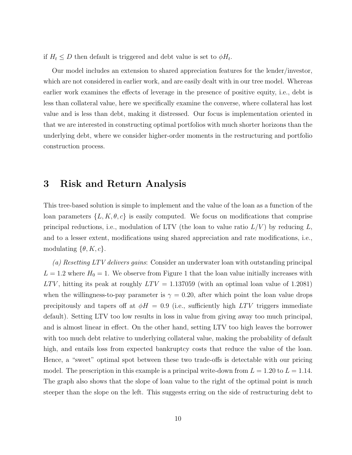if  $H_t \leq D$  then default is triggered and debt value is set to  $\phi H_t$ .

Our model includes an extension to shared appreciation features for the lender/investor, which are not considered in earlier work, and are easily dealt with in our tree model. Whereas earlier work examines the effects of leverage in the presence of positive equity, i.e., debt is less than collateral value, here we specifically examine the converse, where collateral has lost value and is less than debt, making it distressed. Our focus is implementation oriented in that we are interested in constructing optimal portfolios with much shorter horizons than the underlying debt, where we consider higher-order moments in the restructuring and portfolio construction process.

### 3 Risk and Return Analysis

This tree-based solution is simple to implement and the value of the loan as a function of the loan parameters  $\{L, K, \theta, c\}$  is easily computed. We focus on modifications that comprise principal reductions, i.e., modulation of LTV (the loan to value ratio  $L/V$ ) by reducing L, and to a lesser extent, modifications using shared appreciation and rate modifications, i.e., modulating  $\{\theta, K, c\}.$ 

(a) Resetting LTV delivers gains: Consider an underwater loan with outstanding principal  $L = 1.2$  where  $H_0 = 1$ . We observe from Figure 1 that the loan value initially increases with  $LTV$ , hitting its peak at roughly  $LTV = 1.137059$  (with an optimal loan value of 1.2081) when the willingness-to-pay parameter is  $\gamma = 0.20$ , after which point the loan value drops precipitously and tapers off at  $\phi H = 0.9$  (i.e., sufficiently high LTV triggers immediate default). Setting LTV too low results in loss in value from giving away too much principal, and is almost linear in effect. On the other hand, setting LTV too high leaves the borrower with too much debt relative to underlying collateral value, making the probability of default high, and entails loss from expected bankruptcy costs that reduce the value of the loan. Hence, a "sweet" optimal spot between these two trade-offs is detectable with our pricing model. The prescription in this example is a principal write-down from  $L = 1.20$  to  $L = 1.14$ . The graph also shows that the slope of loan value to the right of the optimal point is much steeper than the slope on the left. This suggests erring on the side of restructuring debt to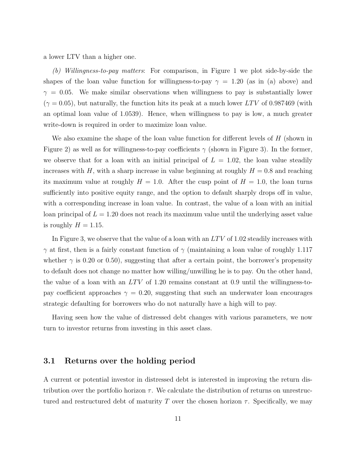a lower LTV than a higher one.

(b) Willingness-to-pay matters: For comparison, in Figure 1 we plot side-by-side the shapes of the loan value function for willingness-to-pay  $\gamma = 1.20$  (as in (a) above) and  $\gamma = 0.05$ . We make similar observations when willingness to pay is substantially lower  $(\gamma = 0.05)$ , but naturally, the function hits its peak at a much lower LTV of 0.987469 (with an optimal loan value of 1.0539). Hence, when willingness to pay is low, a much greater write-down is required in order to maximize loan value.

We also examine the shape of the loan value function for different levels of  $H$  (shown in Figure 2) as well as for willingness-to-pay coefficients  $\gamma$  (shown in Figure 3). In the former, we observe that for a loan with an initial principal of  $L = 1.02$ , the loan value steadily increases with H, with a sharp increase in value beginning at roughly  $H = 0.8$  and reaching its maximum value at roughly  $H = 1.0$ . After the cusp point of  $H = 1.0$ , the loan turns sufficiently into positive equity range, and the option to default sharply drops off in value, with a corresponding increase in loan value. In contrast, the value of a loan with an initial loan principal of  $L = 1.20$  does not reach its maximum value until the underlying asset value is roughly  $H = 1.15$ .

In Figure 3, we observe that the value of a loan with an  $LTV$  of 1.02 steadily increases with  $\gamma$  at first, then is a fairly constant function of  $\gamma$  (maintaining a loan value of roughly 1.117 whether  $\gamma$  is 0.20 or 0.50), suggesting that after a certain point, the borrower's propensity to default does not change no matter how willing/unwilling he is to pay. On the other hand, the value of a loan with an  $LTV$  of 1.20 remains constant at 0.9 until the willingness-topay coefficient approaches  $\gamma = 0.20$ , suggesting that such an underwater loan encourages strategic defaulting for borrowers who do not naturally have a high will to pay.

Having seen how the value of distressed debt changes with various parameters, we now turn to investor returns from investing in this asset class.

#### 3.1 Returns over the holding period

A current or potential investor in distressed debt is interested in improving the return distribution over the portfolio horizon  $\tau$ . We calculate the distribution of returns on unrestructured and restructured debt of maturity T over the chosen horizon  $\tau$ . Specifically, we may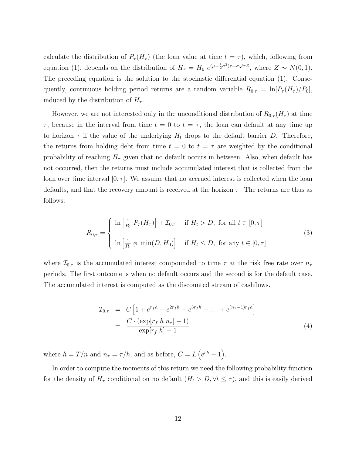calculate the distribution of  $P_{\tau}(H_{\tau})$  (the loan value at time  $t = \tau$ ), which, following from equation (1), depends on the distribution of  $H_{\tau} = H_0 e^{(\mu - \frac{1}{2}\sigma^2)\tau + \sigma\sqrt{\tau}Z}$ , where  $Z \sim N(0, 1)$ . The preceding equation is the solution to the stochastic differential equation (1). Consequently, continuous holding period returns are a random variable  $R_{0,\tau} = \ln[P_{\tau}(H_{\tau})/P_0],$ induced by the distribution of  $H_{\tau}$ .

However, we are not interested only in the unconditional distribution of  $R_{0,\tau}(H_{\tau})$  at time  $\tau$ , because in the interval from time  $t = 0$  to  $t = \tau$ , the loan can default at any time up to horizon  $\tau$  if the value of the underlying  $H_t$  drops to the default barrier D. Therefore, the returns from holding debt from time  $t = 0$  to  $t = \tau$  are weighted by the conditional probability of reaching  $H_{\tau}$  given that no default occurs in between. Also, when default has not occurred, then the returns must include accumulated interest that is collected from the loan over time interval  $[0, \tau]$ . We assume that no accrued interest is collected when the loan defaults, and that the recovery amount is received at the horizon  $\tau$ . The returns are thus as follows:

$$
R_{0,\tau} = \begin{cases} \ln\left[\frac{1}{P_0} P_\tau(H_\tau)\right] + \mathcal{I}_{0,\tau} & \text{if } H_t > D, \text{ for all } t \in [0,\tau] \\ \ln\left[\frac{1}{P_0} \phi \min(D, H_0)\right] & \text{if } H_t \le D, \text{ for any } t \in [0,\tau] \end{cases}
$$
(3)

where  $\mathcal{I}_{0,\tau}$  is the accumulated interest compounded to time  $\tau$  at the risk free rate over  $n_{\tau}$ periods. The first outcome is when no default occurs and the second is for the default case. The accumulated interest is computed as the discounted stream of cashflows.

$$
\mathcal{I}_{0,\tau} = C \left[ 1 + e^{r_f h} + e^{2r_f h} + e^{3r_f h} + \dots + e^{(n_{\tau}-1)r_f h} \right]
$$
  
= 
$$
\frac{C \cdot (\exp[r_f h n_{\tau}] - 1)}{\exp[r_f h] - 1}
$$
(4)

where  $h = T/n$  and  $n_{\tau} = \tau/h$ , and as before,  $C = L(e^{ch} - 1)$ .

In order to compute the moments of this return we need the following probability function for the density of  $H_{\tau}$  conditional on no default  $(H_t > D, \forall t \leq \tau)$ , and this is easily derived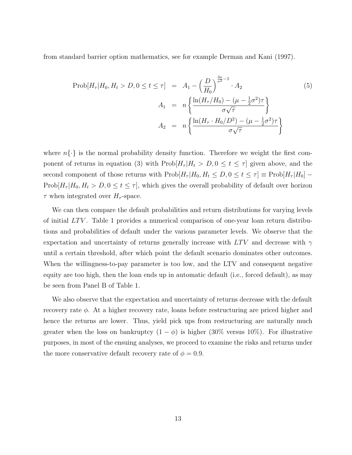from standard barrier option mathematics, see for example Derman and Kani (1997).

$$
\text{Prob}[H_{\tau}|H_0, H_t > D, 0 \le t \le \tau] = A_1 - \left(\frac{D}{H_0}\right)^{\frac{2\mu}{\sigma^2} - 1} \cdot A_2 \tag{5}
$$
\n
$$
A_1 = n \left\{ \frac{\ln(H_{\tau}/H_0) - (\mu - \frac{1}{2}\sigma^2)\tau}{\sigma\sqrt{\tau}} \right\}
$$
\n
$$
A_2 = n \left\{ \frac{\ln(H_{\tau} \cdot H_0/D^2) - (\mu - \frac{1}{2}\sigma^2)\tau}{\sigma\sqrt{\tau}} \right\}
$$

where  $n\{\cdot\}$  is the normal probability density function. Therefore we weight the first component of returns in equation (3) with  $\text{Prob}[H_{\tau}|H_t > D, 0 \leq t \leq \tau]$  given above, and the second component of those returns with  $\text{Prob}[H_{\tau}|H_0, H_t \leq D, 0 \leq t \leq \tau] \equiv \text{Prob}[H_{\tau}|H_0]$  $\text{Prob}[H_{\tau}|H_0, H_t > D, 0 \le t \le \tau]$ , which gives the overall probability of default over horizon  $\tau$  when integrated over  $H_{\tau}$ -space.

We can then compare the default probabilities and return distributions for varying levels of initial  $LTV$ . Table 1 provides a numerical comparison of one-year loan return distributions and probabilities of default under the various parameter levels. We observe that the expectation and uncertainty of returns generally increase with  $LTV$  and decrease with  $\gamma$ until a certain threshold, after which point the default scenario dominates other outcomes. When the willingness-to-pay parameter is too low, and the LTV and consequent negative equity are too high, then the loan ends up in automatic default (i.e., forced default), as may be seen from Panel B of Table 1.

We also observe that the expectation and uncertainty of returns decrease with the default recovery rate  $\phi$ . At a higher recovery rate, loans before restructuring are priced higher and hence the returns are lower. Thus, yield pick ups from restructuring are naturally much greater when the loss on bankruptcy  $(1 - \phi)$  is higher (30% versus 10%). For illustrative purposes, in most of the ensuing analyses, we proceed to examine the risks and returns under the more conservative default recovery rate of  $\phi = 0.9$ .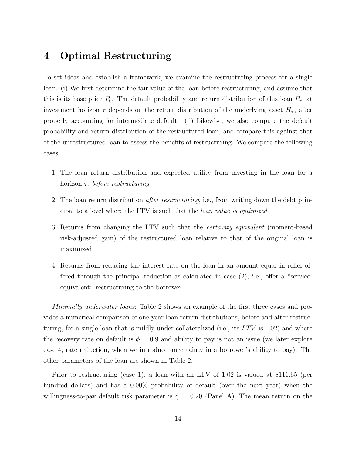# 4 Optimal Restructuring

To set ideas and establish a framework, we examine the restructuring process for a single loan. (i) We first determine the fair value of the loan before restructuring, and assume that this is its base price  $P_0$ . The default probability and return distribution of this loan  $P_{\tau}$ , at investment horizon  $\tau$  depends on the return distribution of the underlying asset  $H_{\tau}$ , after properly accounting for intermediate default. (ii) Likewise, we also compute the default probability and return distribution of the restructured loan, and compare this against that of the unrestructured loan to assess the benefits of restructuring. We compare the following cases.

- 1. The loan return distribution and expected utility from investing in the loan for a horizon  $\tau$ , before restructuring.
- 2. The loan return distribution *after restructuring*, i.e., from writing down the debt principal to a level where the LTV is such that the loan value is optimized.
- 3. Returns from changing the LTV such that the certainty equivalent (moment-based risk-adjusted gain) of the restructured loan relative to that of the original loan is maximized.
- 4. Returns from reducing the interest rate on the loan in an amount equal in relief offered through the principal reduction as calculated in case (2); i.e., offer a "serviceequivalent" restructuring to the borrower.

Minimally underwater loans: Table 2 shows an example of the first three cases and provides a numerical comparison of one-year loan return distributions, before and after restructuring, for a single loan that is mildly under-collateralized (i.e., its  $LTV$  is 1.02) and where the recovery rate on default is  $\phi = 0.9$  and ability to pay is not an issue (we later explore case 4, rate reduction, when we introduce uncertainty in a borrower's ability to pay). The other parameters of the loan are shown in Table 2.

Prior to restructuring (case 1), a loan with an LTV of 1.02 is valued at \$111.65 (per hundred dollars) and has a  $0.00\%$  probability of default (over the next year) when the willingness-to-pay default risk parameter is  $\gamma = 0.20$  (Panel A). The mean return on the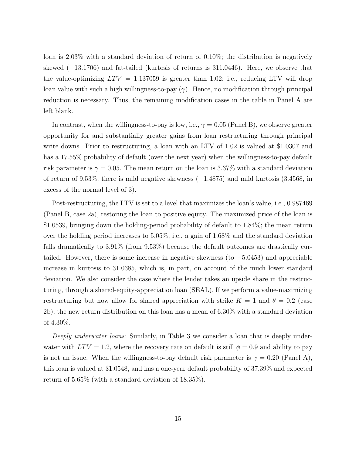loan is 2.03% with a standard deviation of return of 0.10%; the distribution is negatively skewed (−13.1706) and fat-tailed (kurtosis of returns is 311.0446). Here, we observe that the value-optimizing  $LTV = 1.137059$  is greater than 1.02; i.e., reducing LTV will drop loan value with such a high willingness-to-pay  $(\gamma)$ . Hence, no modification through principal reduction is necessary. Thus, the remaining modification cases in the table in Panel A are left blank.

In contrast, when the willingness-to-pay is low, i.e.,  $\gamma = 0.05$  (Panel B), we observe greater opportunity for and substantially greater gains from loan restructuring through principal write downs. Prior to restructuring, a loan with an LTV of 1.02 is valued at \$1.0307 and has a 17.55% probability of default (over the next year) when the willingness-to-pay default risk parameter is  $\gamma = 0.05$ . The mean return on the loan is 3.37% with a standard deviation of return of 9.53%; there is mild negative skewness (−1.4875) and mild kurtosis (3.4568, in excess of the normal level of 3).

Post-restructuring, the LTV is set to a level that maximizes the loan's value, i.e., 0.987469 (Panel B, case 2a), restoring the loan to positive equity. The maximized price of the loan is \$1.0539, bringing down the holding-period probability of default to 1.84%; the mean return over the holding period increases to 5.05%, i.e., a gain of 1.68% and the standard deviation falls dramatically to 3.91% (from 9.53%) because the default outcomes are drastically curtailed. However, there is some increase in negative skewness (to −5.0453) and appreciable increase in kurtosis to 31.0385, which is, in part, on account of the much lower standard deviation. We also consider the case where the lender takes an upside share in the restructuring, through a shared-equity-appreciation loan (SEAL). If we perform a value-maximizing restructuring but now allow for shared appreciation with strike  $K = 1$  and  $\theta = 0.2$  (case 2b), the new return distribution on this loan has a mean of 6.30% with a standard deviation of 4.30%.

Deeply underwater loans: Similarly, in Table 3 we consider a loan that is deeply underwater with  $LTV = 1.2$ , where the recovery rate on default is still  $\phi = 0.9$  and ability to pay is not an issue. When the willingness-to-pay default risk parameter is  $\gamma = 0.20$  (Panel A), this loan is valued at \$1.0548, and has a one-year default probability of 37.39% and expected return of 5.65% (with a standard deviation of 18.35%).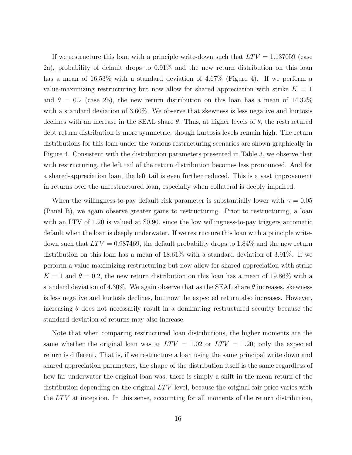If we restructure this loan with a principle write-down such that  $LTV = 1.137059$  (case 2a), probability of default drops to 0.91% and the new return distribution on this loan has a mean of 16.53% with a standard deviation of 4.67% (Figure 4). If we perform a value-maximizing restructuring but now allow for shared appreciation with strike  $K = 1$ and  $\theta = 0.2$  (case 2b), the new return distribution on this loan has a mean of 14.32% with a standard deviation of 3.60%. We observe that skewness is less negative and kurtosis declines with an increase in the SEAL share  $\theta$ . Thus, at higher levels of  $\theta$ , the restructured debt return distribution is more symmetric, though kurtosis levels remain high. The return distributions for this loan under the various restructuring scenarios are shown graphically in Figure 4. Consistent with the distribution parameters presented in Table 3, we observe that with restructuring, the left tail of the return distribution becomes less pronounced. And for a shared-appreciation loan, the left tail is even further reduced. This is a vast improvement in returns over the unrestructured loan, especially when collateral is deeply impaired.

When the willingness-to-pay default risk parameter is substantially lower with  $\gamma = 0.05$ (Panel B), we again observe greater gains to restructuring. Prior to restructuring, a loan with an LTV of 1.20 is valued at \$0.90, since the low willingness-to-pay triggers automatic default when the loan is deeply underwater. If we restructure this loan with a principle writedown such that  $LTV = 0.987469$ , the default probability drops to 1.84% and the new return distribution on this loan has a mean of 18.61% with a standard deviation of 3.91%. If we perform a value-maximizing restructuring but now allow for shared appreciation with strike  $K = 1$  and  $\theta = 0.2$ , the new return distribution on this loan has a mean of 19.86% with a standard deviation of 4.30%. We again observe that as the SEAL share  $\theta$  increases, skewness is less negative and kurtosis declines, but now the expected return also increases. However, increasing  $\theta$  does not necessarily result in a dominating restructured security because the standard deviation of returns may also increase.

Note that when comparing restructured loan distributions, the higher moments are the same whether the original loan was at  $LTV = 1.02$  or  $LTV = 1.20$ ; only the expected return is different. That is, if we restructure a loan using the same principal write down and shared appreciation parameters, the shape of the distribution itself is the same regardless of how far underwater the original loan was; there is simply a shift in the mean return of the distribution depending on the original  $LTV$  level, because the original fair price varies with the  $LTV$  at inception. In this sense, accounting for all moments of the return distribution,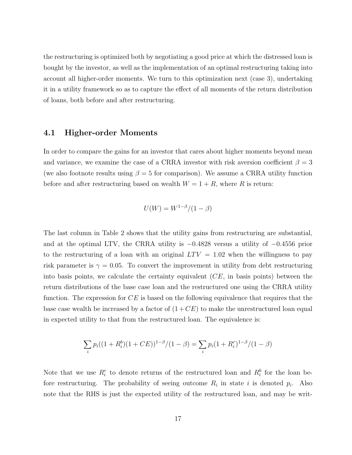the restructuring is optimized both by negotiating a good price at which the distressed loan is bought by the investor, as well as the implementation of an optimal restructuring taking into account all higher-order moments. We turn to this optimization next (case 3), undertaking it in a utility framework so as to capture the effect of all moments of the return distribution of loans, both before and after restructuring.

#### 4.1 Higher-order Moments

In order to compare the gains for an investor that cares about higher moments beyond mean and variance, we examine the case of a CRRA investor with risk aversion coefficient  $\beta = 3$ (we also footnote results using  $\beta = 5$  for comparison). We assume a CRRA utility function before and after restructuring based on wealth  $W = 1 + R$ , where R is return:

$$
U(W) = W^{1-\beta}/(1-\beta)
$$

The last column in Table 2 shows that the utility gains from restructuring are substantial, and at the optimal LTV, the CRRA utility is −0.4828 versus a utility of −0.4556 prior to the restructuring of a loan with an original  $LTV = 1.02$  when the willingness to pay risk parameter is  $\gamma = 0.05$ . To convert the improvement in utility from debt restructuring into basis points, we calculate the certainty equivalent  $(CE, \text{ in basis points})$  between the return distributions of the base case loan and the restructured one using the CRRA utility function. The expression for  $CE$  is based on the following equivalence that requires that the base case wealth be increased by a factor of  $(1 + CE)$  to make the unrestructured loan equal in expected utility to that from the restructured loan. The equivalence is:

$$
\sum_{i} p_i((1 + R_i^b)(1 + CE))^{1-\beta}/(1-\beta) = \sum_{i} p_i(1 + R_i^r)^{1-\beta}/(1-\beta)
$$

Note that we use  $R_i^r$  to denote returns of the restructured loan and  $R_i^b$  for the loan before restructuring. The probability of seeing outcome  $R_i$  in state i is denoted  $p_i$ . Also note that the RHS is just the expected utility of the restructured loan, and may be writ-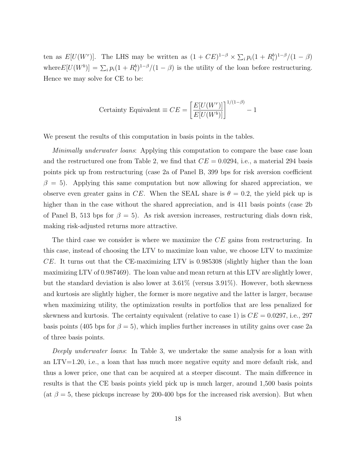ten as  $E[U(W^r)]$ . The LHS may be written as  $(1 + CE)^{1-\beta} \times \sum_i p_i(1 + R_i^b)^{1-\beta}/(1-\beta)$ where  $E[U(W^b)] = \sum_i p_i(1 + R_i^b)^{1-\beta}/(1-\beta)$  is the utility of the loan before restructuring. Hence we may solve for CE to be:

$$
f(\text{Certainty} \text{ Equivalent} \equiv CE = \left[\frac{E[U(W^r)]}{E[U(W^b)]}\right]^{1/(1-\beta)} - 1
$$

We present the results of this computation in basis points in the tables.

Minimally underwater loans: Applying this computation to compare the base case loan and the restructured one from Table 2, we find that  $CE = 0.0294$ , i.e., a material 294 basis points pick up from restructuring (case 2a of Panel B, 399 bps for risk aversion coefficient  $\beta = 5$ ). Applying this same computation but now allowing for shared appreciation, we observe even greater gains in CE. When the SEAL share is  $\theta = 0.2$ , the yield pick up is higher than in the case without the shared appreciation, and is 411 basis points (case 2b) of Panel B, 513 bps for  $\beta = 5$ ). As risk aversion increases, restructuring dials down risk, making risk-adjusted returns more attractive.

The third case we consider is where we maximize the CE gains from restructuring. In this case, instead of choosing the LTV to maximize loan value, we choose LTV to maximize CE. It turns out that the CE-maximizing LTV is 0.985308 (slightly higher than the loan maximizing LTV of 0.987469). The loan value and mean return at this LTV are slightly lower, but the standard deviation is also lower at  $3.61\%$  (versus  $3.91\%$ ). However, both skewness and kurtosis are slightly higher, the former is more negative and the latter is larger, because when maximizing utility, the optimization results in portfolios that are less penalized for skewness and kurtosis. The certainty equivalent (relative to case 1) is  $CE = 0.0297$ , i.e., 297 basis points (405 bps for  $\beta = 5$ ), which implies further increases in utility gains over case 2a of three basis points.

Deeply underwater loans: In Table 3, we undertake the same analysis for a loan with an LTV=1.20, i.e., a loan that has much more negative equity and more default risk, and thus a lower price, one that can be acquired at a steeper discount. The main difference in results is that the CE basis points yield pick up is much larger, around 1,500 basis points (at  $\beta = 5$ , these pickups increase by 200-400 bps for the increased risk aversion). But when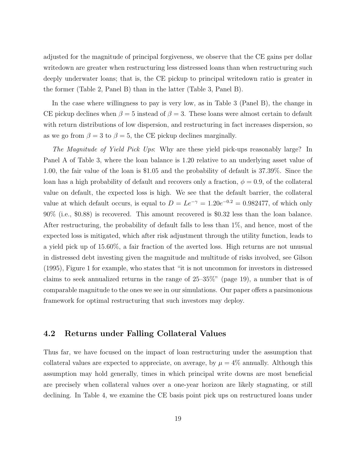adjusted for the magnitude of principal forgiveness, we observe that the CE gains per dollar writedown are greater when restructuring less distressed loans than when restructuring such deeply underwater loans; that is, the CE pickup to principal writedown ratio is greater in the former (Table 2, Panel B) than in the latter (Table 3, Panel B).

In the case where willingness to pay is very low, as in Table 3 (Panel B), the change in CE pickup declines when  $\beta = 5$  instead of  $\beta = 3$ . These loans were almost certain to default with return distributions of low dispersion, and restructuring in fact increases dispersion, so as we go from  $\beta = 3$  to  $\beta = 5$ , the CE pickup declines marginally.

The Magnitude of Yield Pick Ups: Why are these yield pick-ups reasonably large? In Panel A of Table 3, where the loan balance is 1.20 relative to an underlying asset value of 1.00, the fair value of the loan is \$1.05 and the probability of default is 37.39%. Since the loan has a high probability of default and recovers only a fraction,  $\phi = 0.9$ , of the collateral value on default, the expected loss is high. We see that the default barrier, the collateral value at which default occurs, is equal to  $D = Le^{-\gamma} = 1.20e^{-0.2} = 0.982477$ , of which only 90% (i.e., \$0.88) is recovered. This amount recovered is \$0.32 less than the loan balance. After restructuring, the probability of default falls to less than 1%, and hence, most of the expected loss is mitigated, which after risk adjustment through the utility function, leads to a yield pick up of 15.60%, a fair fraction of the averted loss. High returns are not unusual in distressed debt investing given the magnitude and multitude of risks involved, see Gilson (1995), Figure 1 for example, who states that "it is not uncommon for investors in distressed claims to seek annualized returns in the range of 25–35%" (page 19), a number that is of comparable magnitude to the ones we see in our simulations. Our paper offers a parsimonious framework for optimal restructuring that such investors may deploy.

#### 4.2 Returns under Falling Collateral Values

Thus far, we have focused on the impact of loan restructuring under the assumption that collateral values are expected to appreciate, on average, by  $\mu = 4\%$  annually. Although this assumption may hold generally, times in which principal write downs are most beneficial are precisely when collateral values over a one-year horizon are likely stagnating, or still declining. In Table 4, we examine the CE basis point pick ups on restructured loans under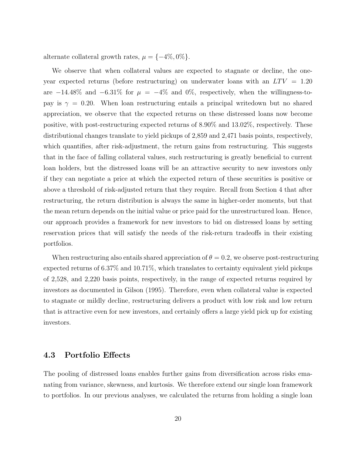alternate collateral growth rates,  $\mu = \{-4\%, 0\%\}.$ 

We observe that when collateral values are expected to stagnate or decline, the oneyear expected returns (before restructuring) on underwater loans with an  $LTV = 1.20$ are  $-14.48\%$  and  $-6.31\%$  for  $\mu = -4\%$  and 0%, respectively, when the willingness-topay is  $\gamma = 0.20$ . When loan restructuring entails a principal writedown but no shared appreciation, we observe that the expected returns on these distressed loans now become positive, with post-restructuring expected returns of 8.90% and 13.02%, respectively. These distributional changes translate to yield pickups of 2,859 and 2,471 basis points, respectively, which quantifies, after risk-adjustment, the return gains from restructuring. This suggests that in the face of falling collateral values, such restructuring is greatly beneficial to current loan holders, but the distressed loans will be an attractive security to new investors only if they can negotiate a price at which the expected return of these securities is positive or above a threshold of risk-adjusted return that they require. Recall from Section 4 that after restructuring, the return distribution is always the same in higher-order moments, but that the mean return depends on the initial value or price paid for the unrestructured loan. Hence, our approach provides a framework for new investors to bid on distressed loans by setting reservation prices that will satisfy the needs of the risk-return tradeoffs in their existing portfolios.

When restructuring also entails shared appreciation of  $\theta = 0.2$ , we observe post-restructuring expected returns of 6.37% and 10.71%, which translates to certainty equivalent yield pickups of 2,528, and 2,220 basis points, respectively, in the range of expected returns required by investors as documented in Gilson (1995). Therefore, even when collateral value is expected to stagnate or mildly decline, restructuring delivers a product with low risk and low return that is attractive even for new investors, and certainly offers a large yield pick up for existing investors.

### 4.3 Portfolio Effects

The pooling of distressed loans enables further gains from diversification across risks emanating from variance, skewness, and kurtosis. We therefore extend our single loan framework to portfolios. In our previous analyses, we calculated the returns from holding a single loan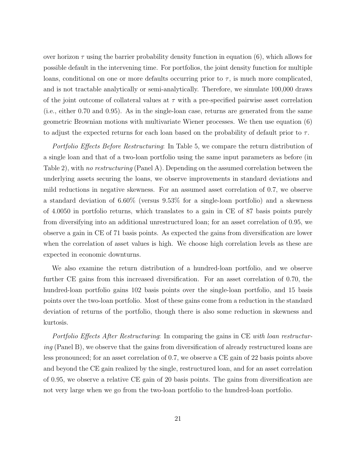over horizon  $\tau$  using the barrier probability density function in equation (6), which allows for possible default in the intervening time. For portfolios, the joint density function for multiple loans, conditional on one or more defaults occurring prior to  $\tau$ , is much more complicated, and is not tractable analytically or semi-analytically. Therefore, we simulate 100,000 draws of the joint outcome of collateral values at  $\tau$  with a pre-specified pairwise asset correlation (i.e., either 0.70 and 0.95). As in the single-loan case, returns are generated from the same geometric Brownian motions with multivariate Wiener processes. We then use equation (6) to adjust the expected returns for each loan based on the probability of default prior to  $\tau$ .

Portfolio Effects Before Restructuring: In Table 5, we compare the return distribution of a single loan and that of a two-loan portfolio using the same input parameters as before (in Table 2), with no restructuring (Panel A). Depending on the assumed correlation between the underlying assets securing the loans, we observe improvements in standard deviations and mild reductions in negative skewness. For an assumed asset correlation of 0.7, we observe a standard deviation of 6.60% (versus 9.53% for a single-loan portfolio) and a skewness of 4.0050 in portfolio returns, which translates to a gain in CE of 87 basis points purely from diversifying into an additional unrestructured loan; for an asset correlation of 0.95, we observe a gain in CE of 71 basis points. As expected the gains from diversification are lower when the correlation of asset values is high. We choose high correlation levels as these are expected in economic downturns.

We also examine the return distribution of a hundred-loan portfolio, and we observe further CE gains from this increased diversification. For an asset correlation of 0.70, the hundred-loan portfolio gains 102 basis points over the single-loan portfolio, and 15 basis points over the two-loan portfolio. Most of these gains come from a reduction in the standard deviation of returns of the portfolio, though there is also some reduction in skewness and kurtosis.

Portfolio Effects After Restructuring: In comparing the gains in CE with loan restructuring (Panel B), we observe that the gains from diversification of already restructured loans are less pronounced; for an asset correlation of 0.7, we observe a CE gain of 22 basis points above and beyond the CE gain realized by the single, restructured loan, and for an asset correlation of 0.95, we observe a relative CE gain of 20 basis points. The gains from diversification are not very large when we go from the two-loan portfolio to the hundred-loan portfolio.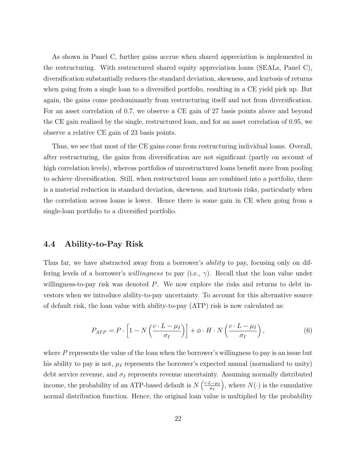As shown in Panel C, further gains accrue when shared appreciation is implemented in the restructuring. With restructured shared equity appreciation loans (SEALs, Panel C), diversification substantially reduces the standard deviation, skewness, and kurtosis of returns when going from a single loan to a diversified portfolio, resulting in a CE yield pick up. But again, the gains come predominantly from restructuring itself and not from diversification. For an asset correlation of 0.7, we observe a CE gain of 27 basis points above and beyond the CE gain realized by the single, restructured loan, and for an asset correlation of 0.95, we observe a relative CE gain of 23 basis points.

Thus, we see that most of the CE gains come from restructuring individual loans. Overall, after restructuring, the gains from diversification are not significant (partly on account of high correlation levels), whereas portfolios of unrestructured loans benefit more from pooling to achieve diversification. Still, when restructured loans are combined into a portfolio, there is a material reduction in standard deviation, skewness, and kurtosis risks, particularly when the correlation across loans is lower. Hence there is some gain in CE when going from a single-loan portfolio to a diversified portfolio.

### 4.4 Ability-to-Pay Risk

Thus far, we have abstracted away from a borrower's *ability* to pay, focusing only on differing levels of a borrower's *willingness* to pay (i.e.,  $\gamma$ ). Recall that the loan value under willingness-to-pay risk was denoted  $P$ . We now explore the risks and returns to debt investors when we introduce ability-to-pay uncertainty. To account for this alternative source of default risk, the loan value with ability-to-pay (ATP) risk is now calculated as:

$$
P_{ATP} = P \cdot \left[ 1 - N \left( \frac{c \cdot L - \mu_I}{\sigma_I} \right) \right] + \phi \cdot H \cdot N \left( \frac{c \cdot L - \mu_I}{\sigma_I} \right),\tag{6}
$$

where  $P$  represents the value of the loan when the borrower's willingness to pay is an issue but his ability to pay is not,  $\mu_I$  represents the borrower's expected annual (normalized to unity) debt service revenue, and  $\sigma_I$  represents revenue uncertainty. Assuming normally distributed income, the probability of an ATP-based default is  $N\left(\frac{c \cdot L - \mu_I}{\sigma_I}\right)$  $\sigma_I$ ), where  $N(\cdot)$  is the cumulative normal distribution function. Hence, the original loan value is multiplied by the probability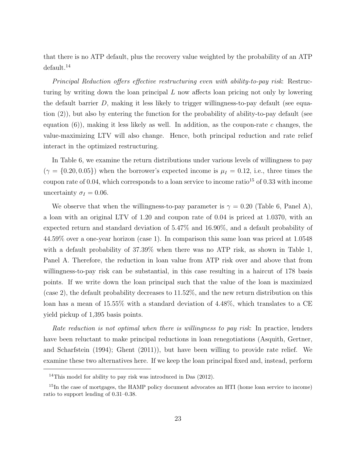that there is no ATP default, plus the recovery value weighted by the probability of an ATP default.<sup>14</sup>

Principal Reduction offers effective restructuring even with ability-to-pay risk: Restructuring by writing down the loan principal L now affects loan pricing not only by lowering the default barrier  $D$ , making it less likely to trigger willingness-to-pay default (see equation (2)), but also by entering the function for the probability of ability-to-pay default (see equation  $(6)$ ), making it less likely as well. In addition, as the coupon-rate c changes, the value-maximizing LTV will also change. Hence, both principal reduction and rate relief interact in the optimized restructuring.

In Table 6, we examine the return distributions under various levels of willingness to pay  $(\gamma = \{0.20, 0.05\})$  when the borrower's expected income is  $\mu_I = 0.12$ , i.e., three times the coupon rate of 0.04, which corresponds to a loan service to income ratio<sup>15</sup> of 0.33 with income uncertainty  $\sigma_I = 0.06$ .

We observe that when the willingness-to-pay parameter is  $\gamma = 0.20$  (Table 6, Panel A), a loan with an original LTV of 1.20 and coupon rate of 0.04 is priced at 1.0370, with an expected return and standard deviation of 5.47% and 16.90%, and a default probability of 44.59% over a one-year horizon (case 1). In comparison this same loan was priced at 1.0548 with a default probability of 37.39% when there was no ATP risk, as shown in Table 1, Panel A. Therefore, the reduction in loan value from ATP risk over and above that from willingness-to-pay risk can be substantial, in this case resulting in a haircut of 178 basis points. If we write down the loan principal such that the value of the loan is maximized (case 2), the default probability decreases to 11.52%, and the new return distribution on this loan has a mean of 15.55% with a standard deviation of 4.48%, which translates to a CE yield pickup of 1,395 basis points.

Rate reduction is not optimal when there is willingness to pay risk: In practice, lenders have been reluctant to make principal reductions in loan renegotiations (Asquith, Gertner, and Scharfstein (1994); Ghent (2011)), but have been willing to provide rate relief. We examine these two alternatives here. If we keep the loan principal fixed and, instead, perform

<sup>&</sup>lt;sup>14</sup>This model for ability to pay risk was introduced in Das  $(2012)$ .

<sup>&</sup>lt;sup>15</sup>In the case of mortgages, the HAMP policy document advocates an HTI (home loan service to income) ratio to support lending of 0.31–0.38.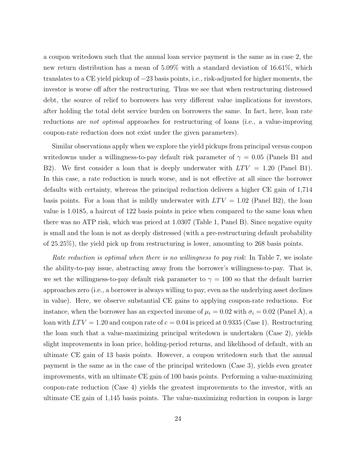a coupon writedown such that the annual loan service payment is the same as in case 2, the new return distribution has a mean of 5.09% with a standard deviation of 16.61%, which translates to a CE yield pickup of −23 basis points, i.e., risk-adjusted for higher moments, the investor is worse off after the restructuring. Thus we see that when restructuring distressed debt, the source of relief to borrowers has very different value implications for investors, after holding the total debt service burden on borrowers the same. In fact, here, loan rate reductions are not optimal approaches for restructuring of loans (i.e., a value-improving coupon-rate reduction does not exist under the given parameters).

Similar observations apply when we explore the yield pickups from principal versus coupon writedowns under a willingness-to-pay default risk parameter of  $\gamma = 0.05$  (Panels B1 and B2). We first consider a loan that is deeply underwater with  $LTV = 1.20$  (Panel B1). In this case, a rate reduction is much worse, and is not effective at all since the borrower defaults with certainty, whereas the principal reduction delivers a higher CE gain of 1,714 basis points. For a loan that is mildly underwater with  $LTV = 1.02$  (Panel B2), the loan value is 1.0185, a haircut of 122 basis points in price when compared to the same loan when there was no ATP risk, which was priced at 1.0307 (Table 1, Panel B). Since negative equity is small and the loan is not as deeply distressed (with a pre-restructuring default probability of 25.25%), the yield pick up from restructuring is lower, amounting to 268 basis points.

Rate reduction is optimal when there is no willingness to pay risk: In Table 7, we isolate the ability-to-pay issue, abstracting away from the borrower's willingness-to-pay. That is, we set the willingness-to-pay default risk parameter to  $\gamma = 100$  so that the default barrier approaches zero (i.e., a borrower is always willing to pay, even as the underlying asset declines in value). Here, we observe substantial CE gains to applying coupon-rate reductions. For instance, when the borrower has an expected income of  $\mu_i = 0.02$  with  $\sigma_i = 0.02$  (Panel A), a loan with  $LTV = 1.20$  and coupon rate of  $c = 0.04$  is priced at 0.9335 (Case 1). Restructuring the loan such that a value-maximizing principal writedown is undertaken (Case 2), yields slight improvements in loan price, holding-period returns, and likelihood of default, with an ultimate CE gain of 13 basis points. However, a coupon writedown such that the annual payment is the same as in the case of the principal writedown (Case 3), yields even greater improvements, with an ultimate CE gain of 100 basis points. Performing a value-maximizing coupon-rate reduction (Case 4) yields the greatest improvements to the investor, with an ultimate CE gain of 1,145 basis points. The value-maximizing reduction in coupon is large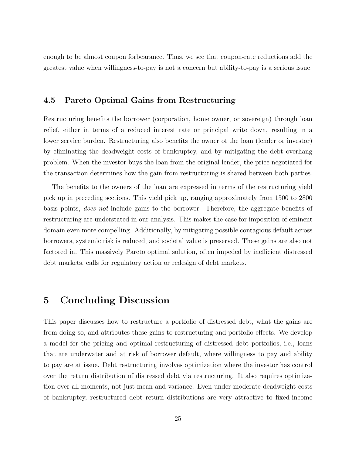enough to be almost coupon forbearance. Thus, we see that coupon-rate reductions add the greatest value when willingness-to-pay is not a concern but ability-to-pay is a serious issue.

### 4.5 Pareto Optimal Gains from Restructuring

Restructuring benefits the borrower (corporation, home owner, or sovereign) through loan relief, either in terms of a reduced interest rate or principal write down, resulting in a lower service burden. Restructuring also benefits the owner of the loan (lender or investor) by eliminating the deadweight costs of bankruptcy, and by mitigating the debt overhang problem. When the investor buys the loan from the original lender, the price negotiated for the transaction determines how the gain from restructuring is shared between both parties.

The benefits to the owners of the loan are expressed in terms of the restructuring yield pick up in preceding sections. This yield pick up, ranging approximately from 1500 to 2800 basis points, does not include gains to the borrower. Therefore, the aggregate benefits of restructuring are understated in our analysis. This makes the case for imposition of eminent domain even more compelling. Additionally, by mitigating possible contagious default across borrowers, systemic risk is reduced, and societal value is preserved. These gains are also not factored in. This massively Pareto optimal solution, often impeded by inefficient distressed debt markets, calls for regulatory action or redesign of debt markets.

### 5 Concluding Discussion

This paper discusses how to restructure a portfolio of distressed debt, what the gains are from doing so, and attributes these gains to restructuring and portfolio effects. We develop a model for the pricing and optimal restructuring of distressed debt portfolios, i.e., loans that are underwater and at risk of borrower default, where willingness to pay and ability to pay are at issue. Debt restructuring involves optimization where the investor has control over the return distribution of distressed debt via restructuring. It also requires optimization over all moments, not just mean and variance. Even under moderate deadweight costs of bankruptcy, restructured debt return distributions are very attractive to fixed-income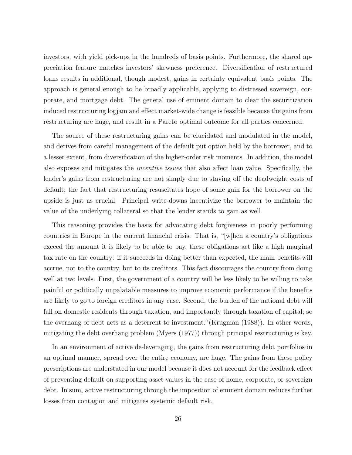investors, with yield pick-ups in the hundreds of basis points. Furthermore, the shared appreciation feature matches investors' skewness preference. Diversification of restructured loans results in additional, though modest, gains in certainty equivalent basis points. The approach is general enough to be broadly applicable, applying to distressed sovereign, corporate, and mortgage debt. The general use of eminent domain to clear the securitization induced restructuring logjam and effect market-wide change is feasible because the gains from restructuring are huge, and result in a Pareto optimal outcome for all parties concerned.

The source of these restructuring gains can be elucidated and modulated in the model, and derives from careful management of the default put option held by the borrower, and to a lesser extent, from diversification of the higher-order risk moments. In addition, the model also exposes and mitigates the incentive issues that also affect loan value. Specifically, the lender's gains from restructuring are not simply due to staving off the deadweight costs of default; the fact that restructuring resuscitates hope of some gain for the borrower on the upside is just as crucial. Principal write-downs incentivize the borrower to maintain the value of the underlying collateral so that the lender stands to gain as well.

This reasoning provides the basis for advocating debt forgiveness in poorly performing countries in Europe in the current financial crisis. That is, "[w]hen a country's obligations exceed the amount it is likely to be able to pay, these obligations act like a high marginal tax rate on the country: if it succeeds in doing better than expected, the main benefits will accrue, not to the country, but to its creditors. This fact discourages the country from doing well at two levels. First, the government of a country will be less likely to be willing to take painful or politically unpalatable measures to improve economic performance if the benefits are likely to go to foreign creditors in any case. Second, the burden of the national debt will fall on domestic residents through taxation, and importantly through taxation of capital; so the overhang of debt acts as a deterrent to investment."(Krugman (1988)). In other words, mitigating the debt overhang problem (Myers (1977)) through principal restructuring is key.

In an environment of active de-leveraging, the gains from restructuring debt portfolios in an optimal manner, spread over the entire economy, are huge. The gains from these policy prescriptions are understated in our model because it does not account for the feedback effect of preventing default on supporting asset values in the case of home, corporate, or sovereign debt. In sum, active restructuring through the imposition of eminent domain reduces further losses from contagion and mitigates systemic default risk.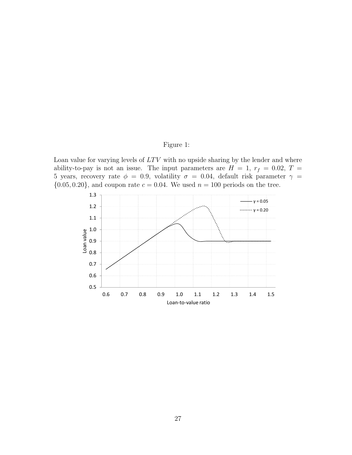### Figure 1:

Loan value for varying levels of  $LTV$  with no upside sharing by the lender and where ability-to-pay is not an issue. The input parameters are  $H = 1$ ,  $r_f = 0.02$ ,  $T =$ 5 years, recovery rate  $\phi = 0.9$ , volatility  $\sigma = 0.04$ , default risk parameter  $\gamma =$  $\{0.05, 0.20\}$ , and coupon rate  $c = 0.04$ . We used  $n = 100$  periods on the tree.

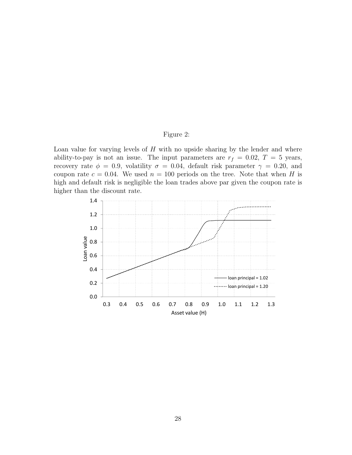### Figure 2:

Loan value for varying levels of  $H$  with no upside sharing by the lender and where ability-to-pay is not an issue. The input parameters are  $r_f = 0.02$ ,  $T = 5$  years, recovery rate  $\phi = 0.9$ , volatility  $\sigma = 0.04$ , default risk parameter  $\gamma = 0.20$ , and coupon rate  $c = 0.04$ . We used  $n = 100$  periods on the tree. Note that when H is high and default risk is negligible the loan trades above par given the coupon rate is higher than the discount rate.

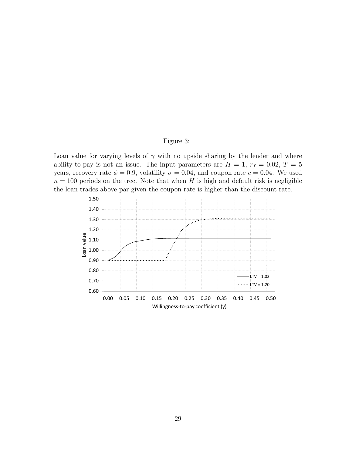#### Figure 3:

Loan value for varying levels of  $\gamma$  with no upside sharing by the lender and where ability-to-pay is not an issue. The input parameters are  $H = 1$ ,  $r_f = 0.02$ ,  $T = 5$ years, recovery rate  $\phi = 0.9$ , volatility  $\sigma = 0.04$ , and coupon rate  $c = 0.04$ . We used  $n = 100$  periods on the tree. Note that when H is high and default risk is negligible the loan trades above par given the coupon rate is higher than the discount rate.

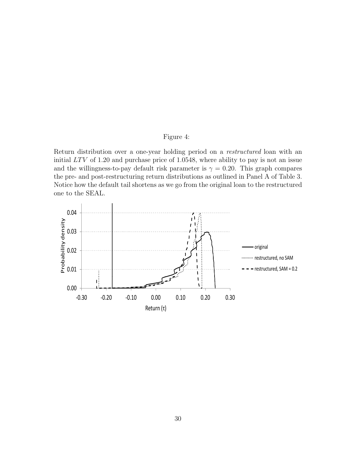### Figure 4:

Return distribution over a one-year holding period on a restructured loan with an initial  $LTV$  of 1.20 and purchase price of 1.0548, where ability to pay is not an issue and the willingness-to-pay default risk parameter is  $\gamma = 0.20$ . This graph compares the pre- and post-restructuring return distributions as outlined in Panel A of Table 3. Notice how the default tail shortens as we go from the original loan to the restructured one to the SEAL.

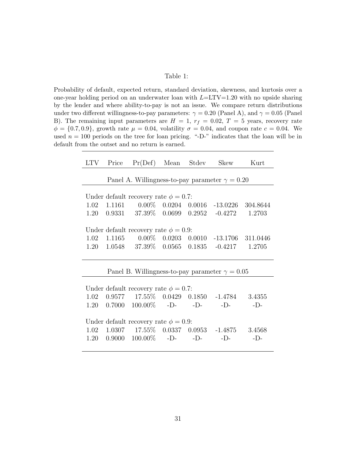#### Table 1:

Probability of default, expected return, standard deviation, skewness, and kurtosis over a one-year holding period on an underwater loan with  $L=LTV=1.20$  with no upside sharing by the lender and where ability-to-pay is not an issue. We compare return distributions under two different willingness-to-pay parameters:  $\gamma = 0.20$  (Panel A), and  $\gamma = 0.05$  (Panel B). The remaining input parameters are  $H = 1$ ,  $r_f = 0.02$ ,  $T = 5$  years, recovery rate  $\phi = \{0.7, 0.9\}$ , growth rate  $\mu = 0.04$ , volatility  $\sigma = 0.04$ , and coupon rate  $c = 0.04$ . We used  $n = 100$  periods on the tree for loan pricing. "-D-" indicates that the loan will be in default from the outset and no return is earned.

|  |                                            |  | LTV Price Pr(Def) Mean Stdev Skew Kurt                                                            |        |
|--|--------------------------------------------|--|---------------------------------------------------------------------------------------------------|--------|
|  |                                            |  | Panel A. Willingness-to-pay parameter $\gamma = 0.20$                                             |        |
|  |                                            |  |                                                                                                   |        |
|  | Under default recovery rate $\phi = 0.7$ : |  |                                                                                                   |        |
|  |                                            |  | 1.02  1.1161  0.00%  0.0204  0.0016  -13.0226  304.8644                                           |        |
|  |                                            |  | 1.20  0.9331  37.39%  0.0699  0.2952  -0.4272  1.2703                                             |        |
|  |                                            |  |                                                                                                   |        |
|  | Under default recovery rate $\phi = 0.9$ : |  |                                                                                                   |        |
|  |                                            |  | 1.02 1.1165 0.00% 0.0203 0.0010 -13.1706 311.0446                                                 |        |
|  |                                            |  | 1.20  1.0548  37.39%  0.0565  0.1835  -0.4217  1.2705                                             |        |
|  |                                            |  |                                                                                                   |        |
|  |                                            |  |                                                                                                   |        |
|  |                                            |  | Panel B. Willingness-to-pay parameter $\gamma = 0.05$                                             |        |
|  |                                            |  |                                                                                                   |        |
|  | Under default recovery rate $\phi = 0.7$ : |  |                                                                                                   |        |
|  |                                            |  | $1.02 \quad 0.9577 \quad \ 17.55\% \quad 0.0429 \quad 0.1850 \quad \  -1.4784 \quad \quad 3.4355$ |        |
|  |                                            |  | 1.20 $0.7000$ $100.00\%$ -D- -D- -D-                                                              | $-D$ - |
|  |                                            |  |                                                                                                   |        |
|  | Under default recovery rate $\phi = 0.9$ : |  |                                                                                                   |        |
|  |                                            |  | $1.02$ $1.0307$ $17.55\%$ $0.0337$ $0.0953$ $-1.4875$ $3.4568$                                    |        |
|  |                                            |  |                                                                                                   |        |
|  | 1.20 $0.9000$ $100.00\%$ -D- -D-           |  | $-D-$                                                                                             | $-D$ - |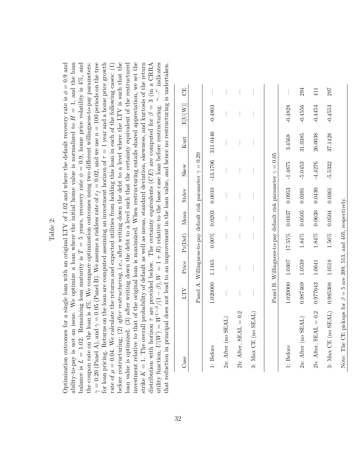|          | a single loan with an original LTV of 1.02 and where the default recovery rate is $\phi = 0.9$ and<br>does not lead to an improvement in the loan value, and hence no restructuring is undertaken.                                                                                                                                                                                                                                                                                                                                                                                                                                                                                                                                                                                                                                                                                                                                                                                                                                                                                                                                                                                                                                                                                                                                                                                                                                                                                                                                                                                                                                                                               | 50                                        |                                                                    |                    |                    |                            |                     |                                                                    |           | 294                 | 411                        | 297                 |
|----------|----------------------------------------------------------------------------------------------------------------------------------------------------------------------------------------------------------------------------------------------------------------------------------------------------------------------------------------------------------------------------------------------------------------------------------------------------------------------------------------------------------------------------------------------------------------------------------------------------------------------------------------------------------------------------------------------------------------------------------------------------------------------------------------------------------------------------------------------------------------------------------------------------------------------------------------------------------------------------------------------------------------------------------------------------------------------------------------------------------------------------------------------------------------------------------------------------------------------------------------------------------------------------------------------------------------------------------------------------------------------------------------------------------------------------------------------------------------------------------------------------------------------------------------------------------------------------------------------------------------------------------------------------------------------------------|-------------------------------------------|--------------------------------------------------------------------|--------------------|--------------------|----------------------------|---------------------|--------------------------------------------------------------------|-----------|---------------------|----------------------------|---------------------|
|          |                                                                                                                                                                                                                                                                                                                                                                                                                                                                                                                                                                                                                                                                                                                                                                                                                                                                                                                                                                                                                                                                                                                                                                                                                                                                                                                                                                                                                                                                                                                                                                                                                                                                                  | $\mathop{\rm E}\nolimits[\rm{U}(\rm{W})]$ |                                                                    | $-0.4803$          |                    |                            |                     |                                                                    | $-0.4828$ | $-0.4556$           | $-0.4454$                  | $-0.4553$           |
|          |                                                                                                                                                                                                                                                                                                                                                                                                                                                                                                                                                                                                                                                                                                                                                                                                                                                                                                                                                                                                                                                                                                                                                                                                                                                                                                                                                                                                                                                                                                                                                                                                                                                                                  | Kurt                                      |                                                                    | 311.0446           |                    |                            |                     |                                                                    | 3.4568    | 31.0385             | 26.0038                    | 37.1428             |
|          |                                                                                                                                                                                                                                                                                                                                                                                                                                                                                                                                                                                                                                                                                                                                                                                                                                                                                                                                                                                                                                                                                                                                                                                                                                                                                                                                                                                                                                                                                                                                                                                                                                                                                  | Skew                                      | Panel A. Willingness-to-pay default risk parameter $\gamma = 0.20$ | $0.0010 - 13.1706$ |                    |                            |                     | Panel B. Willingness-to-pay default risk parameter $\gamma = 0.05$ | $-1.4875$ | $-5.0453$           | $-4.4276$                  | $-5.5332$           |
|          |                                                                                                                                                                                                                                                                                                                                                                                                                                                                                                                                                                                                                                                                                                                                                                                                                                                                                                                                                                                                                                                                                                                                                                                                                                                                                                                                                                                                                                                                                                                                                                                                                                                                                  | Stdev                                     |                                                                    |                    |                    |                            |                     |                                                                    | 0.0953    | 0.0391              | 0.0430                     | 0.0361              |
| Table 2: |                                                                                                                                                                                                                                                                                                                                                                                                                                                                                                                                                                                                                                                                                                                                                                                                                                                                                                                                                                                                                                                                                                                                                                                                                                                                                                                                                                                                                                                                                                                                                                                                                                                                                  | Mean                                      |                                                                    | 0.0203             |                    |                            |                     |                                                                    | 0.0337    | 0.0505              | 0.0630                     | 0.0504              |
|          |                                                                                                                                                                                                                                                                                                                                                                                                                                                                                                                                                                                                                                                                                                                                                                                                                                                                                                                                                                                                                                                                                                                                                                                                                                                                                                                                                                                                                                                                                                                                                                                                                                                                                  | Pr(Def)                                   |                                                                    | $0.00\%$           |                    |                            |                     |                                                                    | 17.55%    | $1.84\%$            | $1.84\%$                   | $1.56\%$            |
|          |                                                                                                                                                                                                                                                                                                                                                                                                                                                                                                                                                                                                                                                                                                                                                                                                                                                                                                                                                                                                                                                                                                                                                                                                                                                                                                                                                                                                                                                                                                                                                                                                                                                                                  | Price                                     |                                                                    | 1.1165             |                    |                            |                     |                                                                    | 1.0307    | 1.0539              | 1.0641                     | 1.0518              |
|          |                                                                                                                                                                                                                                                                                                                                                                                                                                                                                                                                                                                                                                                                                                                                                                                                                                                                                                                                                                                                                                                                                                                                                                                                                                                                                                                                                                                                                                                                                                                                                                                                                                                                                  | LTV                                       |                                                                    | 1.020000           |                    |                            |                     |                                                                    | 1.020000  | 0.987469            | 0.977643                   | 0.985308            |
|          | $\gamma = 0.20$ (Panel A), and $\gamma = 0.05$ (Panel B). We assume a riskless rate of $r_f = 0.02$ , and we use $n = 100$ periods on the tree<br>before restructuring; (2) after restructuring, i.e., after writing down the debt to a level where the LTV is such that the<br>investment relative to that of the original loan is maximized. When restructuring entails shared appreciation, we set the<br>utility function, $U(W) = W^{1-\beta}/(1-\beta)$ , $W = 1 + R$ ) relative to the base case loan before restructuring. "--" indicates<br>ability-to-pay is not an issue. We optimize a loan where the initial home value is normalized to $H = 1$ , and the loan<br>balance is $L = 1.02$ . Remaining loan maturity is $T = 5$ years, recovery rate $\phi = 0.9$ , home price volatility is $4\%$ , and<br>for loan pricing. Returns on the loan are computed assuming an investment horizon of $\tau = 1$ year and a home price growth<br>the coupon rate on the loan is 4%. We compare optimization outcomes using two different willingness-to-pay parameters:<br>loan value is optimized. (3) after writing down the debt to a level such that the certainty equivalent of the restructured<br>strike $K = 1$ . The overall probability of default as well as mean, standard deviation, skewness, and kurtosis of the return<br>distribution with horizon $\tau$ are provided below. The certainty equivalents ( $CE$ ) are computed for $\beta = 3$ (in a CRRA<br>rate of $\mu = 0.04$ . We calculate the returns and expected utilities from holding this loan in each of the following cases: (1)<br>Optimization outcomes for<br>that reduction in principal | Case                                      |                                                                    | 1: Before          | 2a: After (no SEAL | 0.2<br>2b: After, $SEAL =$ | 3: Max CE (no SEAL) |                                                                    | 1: Before | 2a: After (no SEAL) | 0.2<br>2b: After, $SEAL =$ | 3: Max CE (no SEAL) |
|          |                                                                                                                                                                                                                                                                                                                                                                                                                                                                                                                                                                                                                                                                                                                                                                                                                                                                                                                                                                                                                                                                                                                                                                                                                                                                                                                                                                                                                                                                                                                                                                                                                                                                                  |                                           |                                                                    |                    |                    |                            |                     |                                                                    |           |                     |                            |                     |

Note: The CE pickups for  $\beta = 5$  are 399, 513, and 405, respectively.

Note: The CE pickups for  $\beta=5$  are 399, 513, and 405, respectively.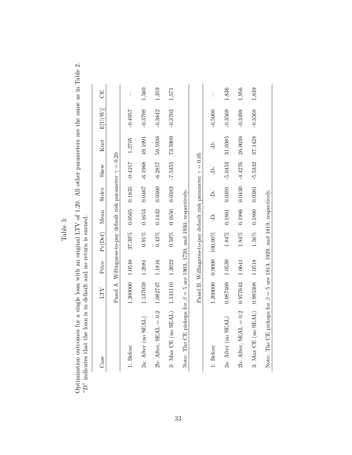| c |  |
|---|--|
| ↻ |  |
| ᇰ |  |
| a |  |
| ŀ |  |

Optimization outcomes for a single loan with an original LTV of 1.20. All other parameters are the same as in Table 2. "D" indicates that the loan is in default and no return is earned. Optimization outcomes for a single loan with an original LTV of 1.20. All other parameters are the same as in Table 2. "D" indicates that the loan is in default and no return is earned.

| Case                                                                         | LTV      | Price  | Pr(Def)                                                            | Mean     | Stdev                       | Skew      | Kurt    | E[U(W)]   | 5     |
|------------------------------------------------------------------------------|----------|--------|--------------------------------------------------------------------|----------|-----------------------------|-----------|---------|-----------|-------|
|                                                                              |          |        | Panel A. Willingness-to-pay default risk parameter $\gamma = 0.20$ |          |                             |           |         |           |       |
| 1: Before                                                                    | 1.200000 | 1.0548 | 37.39%                                                             |          | $0.0565$ $0.1835$ $-0.4217$ |           | 1.2705  | $-0.4957$ |       |
| 2a: After (no SEAL)                                                          | 1.137059 | 1.2081 | $0.91\%$                                                           | 0.1653   | 0.0467                      | $-6.1968$ | 49.1991 | $-0.3709$ | 1,560 |
| 2b: After, $SEAL = 0.2$                                                      | 1.082747 | 1.1816 | 0.43%                                                              | 0.1432   | 0.0360                      | $-6.2857$ | 59.5938 | $-0.3842$ | 1,359 |
| 3: $Max$ CE (no SEAL) 1.131110                                               |          | 1.2022 | 0.59%                                                              | 0.1650   | 0.0383                      | $-7.5355$ | 73.5909 | $-0.3703$ | 1,571 |
| Note: The CE pickups for $\beta = 5$ are 1903, 1720, and 1930, respectively. |          |        |                                                                    |          |                             |           |         |           |       |
|                                                                              |          |        | Panel B. Willingness-to-pay default risk parameter $\gamma = 0.05$ |          |                             |           |         |           |       |
| 1: Before                                                                    |          |        | 1.200000 0.9000 100.00%                                            | $\Delta$ | Ļ                           | Ą         | Ļ       | $-0.5000$ |       |
| 2a: After (no SEAL)                                                          | 0.987469 | 1.0539 | 1.84%                                                              | 0.1861   | 0.0391                      | $-5.0453$ | 31.0385 | $-0.3569$ | 1,836 |
| 2b: After, $SEAL = 0.2$                                                      | 0.977643 | 1.0641 | 1.84%                                                              | 0.1986   | 0.0430                      | $-4.4276$ | 26.0038 | $-0.3498$ | 1,956 |
| 3: $Max$ CE $(no$ SEAL)                                                      | 0.985308 | 1.0518 | 1.56%                                                              | 0.1860   | 0.0361                      | $-5.5332$ | 37.1428 | $-0.3568$ | 1,839 |
| Note: The CE pickups for $\beta = 5$ are 1813, 1929, and 1819, respectively. |          |        |                                                                    |          |                             |           |         |           |       |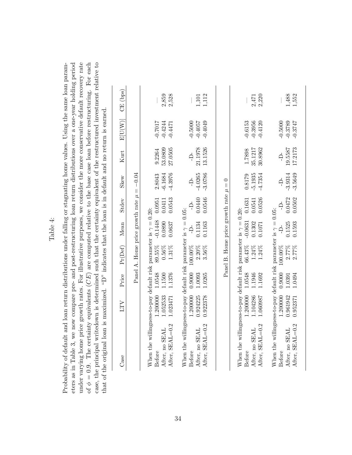| r.<br>4      |  |
|--------------|--|
| $\mathbf{e}$ |  |
| ≏<br>L       |  |
| ್ಸ<br>⊢      |  |

under varying home price growth rates. For illustrative purposes, we consider the more conservative default recovery rate eters as in Table 3, we now compare pre- and post-restructuring loan return distributions over a one-year holding period of  $\phi = 0.9$ . The certainty equivalents (*CE*) are computed relative to the base case loan before restructuring. For each case, the principal writedown is determined such that the certainty equivalent of the restructured investment relative to Probability of default and loan return distributions under falling or stagnating home values. Using the same loan param-Probability of default and loan return distributions under falling or stagnating home values. Using the same loan parameters as in Table 3, we now compare pre- and post-restructuring loan return distributions over a one-year holding period under varying home price growth rates. For illustrative purposes, we consider the more conservative default recovery rate of  $\phi = 0.9$ . The certainty equivalents  $(CE)$  are computed relative to the base case loan before restructuring. For each case, the principal writedown is determined such that the certainty equivalent of the restructured investment relative to that of the original loan is maximized. "D" indicates that the loan is in default and no return is earned. that of the original loan is maximized. "D" indicates that the loan is in default and no return is earned.

| $E[U(W)]$ CE (bps) |                                               | 2,859<br>2,528                                                                                                         | 1,112<br>1,101                                                                                                         |                                           | 2,220<br>2,471                                                                                                         | 1,488<br>1,552                                                                                                         |
|--------------------|-----------------------------------------------|------------------------------------------------------------------------------------------------------------------------|------------------------------------------------------------------------------------------------------------------------|-------------------------------------------|------------------------------------------------------------------------------------------------------------------------|------------------------------------------------------------------------------------------------------------------------|
|                    |                                               | $-0.7017$<br>$-0.4244$<br>$-0.4471$                                                                                    | $-0.5000$<br>$-0.4057$<br>$-0.4049$                                                                                    |                                           | $-0.6153$<br>$-0.3956$<br>$-0.4120$                                                                                    | $-0.5000$<br>$-0.3789$<br>$-0.3747$                                                                                    |
| Kurt               |                                               | 53.0809<br>27.0505<br>9.2264                                                                                           | 13.1526<br>21.1978<br>$\overline{a}$                                                                                   |                                           | 35.1217<br>30.8962<br>1.7898                                                                                           | 19.5587<br>17.2173<br>Ą                                                                                                |
| Skew               |                                               | $-4.3976$<br>$-6.1684$<br>2.8043                                                                                       | $-3.0786$<br>$-4.0265$                                                                                                 |                                           | $-5.1935$<br>$-4.7354$<br>0.8179                                                                                       | $-3.5649$<br>$-3.9314$<br>Ą                                                                                            |
| Stdev              |                                               | 0.0543<br>0.0411                                                                                                       | 0.0546<br>0.0440                                                                                                       |                                           | 0.0526<br>0.0541                                                                                                       | 0.0502<br>0.0472<br>$\overline{a}$                                                                                     |
| Mean               |                                               | $89.55\%$ -0.1448 0.0951<br>0.0890<br>0.0637                                                                           | 0.1163<br>0.1134<br>$\overline{a}$                                                                                     |                                           | $66.43\%$ -0.0631 0.1631<br>0.1302<br>0.1071                                                                           | 0.1593<br>0.1525<br>Ŗ                                                                                                  |
| $Pr(\text{Def})$   | Panel A. Home price growth rate $\mu = -0.04$ | 0.56%<br>$1.31\%$                                                                                                      | $2.20\%$<br>$3.56\%$                                                                                                   | Panel B. Home price growth rate $\mu = 0$ | $1.24\%$<br>$1.24\%$                                                                                                   | $0.9000$ 100.00%<br>2.77%<br>2.77%                                                                                     |
| Price              |                                               | 1.1376<br>1.1500                                                                                                       | 1.200000 0.9000 100.00%<br>1.0093<br>1.0265                                                                            |                                           | 1.1692<br>1.1946                                                                                                       | 1.0391<br>1.0494                                                                                                       |
| LTV                |                                               | 1.200000 1.0548<br>.052533<br>1.023471                                                                                 | 0.924225<br>0.922378                                                                                                   |                                           | 1.2000000 1.0548<br>1.104286<br>1.060987                                                                               | 1.200000<br>0.961942<br>0.952371                                                                                       |
| Case               |                                               | When the willingness-to-pay default risk parameter is $\gamma = 0.20$ :<br>After, SEAL=0.2<br>After, no SEAL<br>Before | When the willingness-to-pay default risk parameter is $\gamma = 0.05$ :<br>After, SEAL=0.2<br>After, no SEAL<br>Before |                                           | When the willingness-to-pay default risk parameter is $\gamma = 0.20$ :<br>After, SEAL=0.2<br>After, no SEAL<br>Before | When the willingness-to-pay default risk parameter is $\gamma = 0.05$ :<br>After, SEAL=0.2<br>After, no SEAL<br>Before |
|                    |                                               |                                                                                                                        |                                                                                                                        |                                           |                                                                                                                        |                                                                                                                        |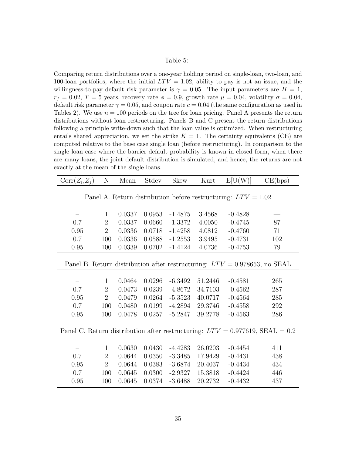#### Table 5:

Comparing return distributions over a one-year holding period on single-loan, two-loan, and 100-loan portfolios, where the initial  $LTV = 1.02$ , ability to pay is not an issue, and the willingness-to-pay default risk parameter is  $\gamma = 0.05$ . The input parameters are  $H = 1$ ,  $r_f = 0.02, T = 5$  years, recovery rate  $\phi = 0.9$ , growth rate  $\mu = 0.04$ , volatility  $\sigma = 0.04$ , default risk parameter  $\gamma = 0.05$ , and coupon rate  $c = 0.04$  (the same configuration as used in Tables 2). We use  $n = 100$  periods on the tree for loan pricing. Panel A presents the return distributions without loan restructuring. Panels B and C present the return distributions following a principle write-down such that the loan value is optimized. When restructuring entails shared appreciation, we set the strike  $K = 1$ . The certainty equivalents (CE) are computed relative to the base case single loan (before restructuring). In comparison to the single loan case where the barrier default probability is known in closed form, when there are many loans, the joint default distribution is simulated, and hence, the returns are not exactly at the mean of the single loans.

| $Corr(Z_i, Z_j)$                                                | $\mathbf N$    | Mean   | Stdev  | <b>Skew</b> | Kurt    | E[U(W)]                                                                      | CE(bps)                                                                         |  |  |
|-----------------------------------------------------------------|----------------|--------|--------|-------------|---------|------------------------------------------------------------------------------|---------------------------------------------------------------------------------|--|--|
| Panel A. Return distribution before restructuring: $LTV = 1.02$ |                |        |        |             |         |                                                                              |                                                                                 |  |  |
|                                                                 |                |        |        |             |         |                                                                              |                                                                                 |  |  |
|                                                                 | $\mathbf{1}$   |        | 0.0953 | $-1.4875$   | 3.4568  | $-0.4828$                                                                    |                                                                                 |  |  |
| $\overline{\phantom{m}}$                                        |                | 0.0337 |        |             |         |                                                                              |                                                                                 |  |  |
| 0.7                                                             | $\overline{2}$ | 0.0337 | 0.0660 | $-1.3372$   | 4.0050  | $-0.4745$                                                                    | 87                                                                              |  |  |
| 0.95                                                            | $\overline{2}$ | 0.0336 | 0.0718 | $-1.4258$   | 4.0812  | $-0.4760$                                                                    | 71                                                                              |  |  |
| 0.7                                                             | 100            | 0.0336 | 0.0588 | $-1.2553$   | 3.9495  | $-0.4731$                                                                    | 102                                                                             |  |  |
| $0.95\,$                                                        | 100            | 0.0339 | 0.0702 | $-1.4124$   | 4.0736  | $-0.4753$                                                                    | 79                                                                              |  |  |
|                                                                 |                |        |        |             |         |                                                                              |                                                                                 |  |  |
|                                                                 |                |        |        |             |         | Panel B. Return distribution after restructuring: $LTV = 0.978653$ , no SEAL |                                                                                 |  |  |
|                                                                 |                |        |        |             |         |                                                                              |                                                                                 |  |  |
|                                                                 | $\mathbf{1}$   | 0.0464 | 0.0296 | $-6.3492$   | 51.2446 | $-0.4581$                                                                    | 265                                                                             |  |  |
| 0.7                                                             | $\overline{2}$ | 0.0473 | 0.0239 | $-4.8672$   | 34.7103 | $-0.4562$                                                                    | 287                                                                             |  |  |
| 0.95                                                            | $\overline{2}$ | 0.0479 | 0.0264 | $-5.3523$   | 40.0717 | $-0.4564$                                                                    | 285                                                                             |  |  |
| 0.7                                                             | 100            | 0.0480 | 0.0199 | $-4.2894$   | 29.3746 | $-0.4558$                                                                    | 292                                                                             |  |  |
| 0.95                                                            | 100            | 0.0478 | 0.0257 | $-5.2847$   | 39.2778 | $-0.4563$                                                                    | 286                                                                             |  |  |
|                                                                 |                |        |        |             |         |                                                                              |                                                                                 |  |  |
|                                                                 |                |        |        |             |         |                                                                              | Panel C. Return distribution after restructuring: $LTV = 0.977619$ , SEAL = 0.2 |  |  |
|                                                                 |                |        |        |             |         |                                                                              |                                                                                 |  |  |
|                                                                 | $\mathbf{1}$   | 0.0630 | 0.0430 | $-4.4283$   | 26.0203 | $-0.4454$                                                                    | 411                                                                             |  |  |
| 0.7                                                             | $\overline{2}$ | 0.0644 | 0.0350 | $-3.3485$   | 17.9429 | $-0.4431$                                                                    | 438                                                                             |  |  |
| 0.95                                                            | $\overline{2}$ | 0.0644 | 0.0383 | $-3.6874$   | 20.4037 | $-0.4434$                                                                    | 434                                                                             |  |  |
| 0.7                                                             | 100            | 0.0645 | 0.0300 | $-2.9327$   | 15.3818 | $-0.4424$                                                                    | 446                                                                             |  |  |
| 0.95                                                            | 100            | 0.0645 | 0.0374 | $-3.6488$   | 20.2732 | $-0.4432$                                                                    | 437                                                                             |  |  |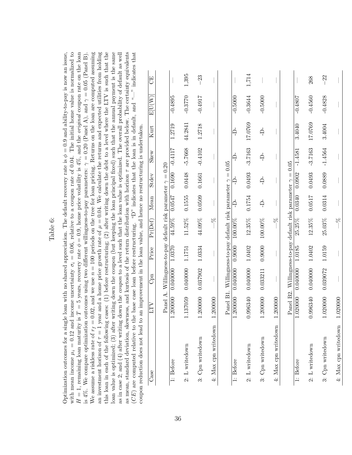| with mean income $\mu_i = 0.12$ and income uncertainty $\sigma_i = 0.06$ , relative to a coupon rate of 0.04. The initial home value is normalized to<br>$H=1$ , remaining loan maturity is $T=5$ years, recovery rate $\phi=0.9$ , home price volatility is $4\%$ , and the <i>original</i> coupon rate on the loan<br>is 4%. We compare optimization outcomes using two different willingness-to-pay parameters: $\gamma = 0.20$ (Panel A), and $\gamma = 0.05$ (Panel B).                                                                                                                                                                                                                                                                                                                                                                                                                                                                                                                                                                                                                                 | 5                                           |                                                                    |                 | 1,395          | $-23$            |                      |                                                                     |                      | 1,714          |                      |                      |                                                                     |           | 268            |
|--------------------------------------------------------------------------------------------------------------------------------------------------------------------------------------------------------------------------------------------------------------------------------------------------------------------------------------------------------------------------------------------------------------------------------------------------------------------------------------------------------------------------------------------------------------------------------------------------------------------------------------------------------------------------------------------------------------------------------------------------------------------------------------------------------------------------------------------------------------------------------------------------------------------------------------------------------------------------------------------------------------------------------------------------------------------------------------------------------------|---------------------------------------------|--------------------------------------------------------------------|-----------------|----------------|------------------|----------------------|---------------------------------------------------------------------|----------------------|----------------|----------------------|----------------------|---------------------------------------------------------------------|-----------|----------------|
|                                                                                                                                                                                                                                                                                                                                                                                                                                                                                                                                                                                                                                                                                                                                                                                                                                                                                                                                                                                                                                                                                                              | $\mathop{\rm E}\nolimits({\rm U}({\rm W}))$ |                                                                    | $-0.4895$       | $-0.3770$      | $-0.4917$        |                      |                                                                     | $-0.5000$            | $-0.3644$      | $-0.5000$            |                      |                                                                     | $-0.4807$ | $-0.4560$      |
|                                                                                                                                                                                                                                                                                                                                                                                                                                                                                                                                                                                                                                                                                                                                                                                                                                                                                                                                                                                                                                                                                                              | Kurt                                        |                                                                    | 1.2719          | 44.2841        | 1.2718           |                      |                                                                     | $\frac{1}{1}$        | 17.0769        | $\overrightarrow{D}$ |                      |                                                                     | 3.4040    | 17.0769        |
|                                                                                                                                                                                                                                                                                                                                                                                                                                                                                                                                                                                                                                                                                                                                                                                                                                                                                                                                                                                                                                                                                                              | Skew                                        |                                                                    | $-0.4117$       | $-5.7668$      | $-0.4102$        |                      |                                                                     | Ą                    | $-3.7163$      | Ļ                    |                      |                                                                     | $-1.4581$ | $-3.7163$      |
|                                                                                                                                                                                                                                                                                                                                                                                                                                                                                                                                                                                                                                                                                                                                                                                                                                                                                                                                                                                                                                                                                                              | Stdev                                       |                                                                    | $0.0547$ 0.1690 | 0.0448         | 0.1661           |                      |                                                                     | $\frac{1}{\sqrt{2}}$ | 0.0493         | ₿                    |                      |                                                                     | 0.0902    | 0.0493         |
|                                                                                                                                                                                                                                                                                                                                                                                                                                                                                                                                                                                                                                                                                                                                                                                                                                                                                                                                                                                                                                                                                                              | Mean                                        |                                                                    |                 | 0.1555         | 0.0509           |                      |                                                                     | $\frac{1}{\sqrt{2}}$ | 0.1754         | Ļ                    |                      |                                                                     | 0.0340    | 0.0517         |
|                                                                                                                                                                                                                                                                                                                                                                                                                                                                                                                                                                                                                                                                                                                                                                                                                                                                                                                                                                                                                                                                                                              | $Pr(\mathrm{Def})$                          |                                                                    | 44.59%          | 11.52%         | 44.09%           | S <sub>C</sub>       |                                                                     | 100.00%              | 12.35%         | 100.00%              | S.C                  |                                                                     | 25.25%    | $12.35\%$      |
|                                                                                                                                                                                                                                                                                                                                                                                                                                                                                                                                                                                                                                                                                                                                                                                                                                                                                                                                                                                                                                                                                                              | Price                                       |                                                                    | 1.0370          | 1.1751         | 1.0334           |                      |                                                                     | 0.9000               | 1.0402         | 0.9000               |                      |                                                                     | 1.0185    | 1.0402         |
| improvement in the loan value, and hence no restructuring is undertaken.                                                                                                                                                                                                                                                                                                                                                                                                                                                                                                                                                                                                                                                                                                                                                                                                                                                                                                                                                                                                                                     | Cpn                                         | Panel A. Willingness-to-pay default risk parameter $\gamma = 0.20$ | 0.040000        | 0.040000       | 0.037902         |                      | Panel B1. Willingness-to-pay default risk parameter $\gamma = 0.05$ | 0.040000             | 0.040000       | 0.033211             |                      | Panel B2. Willingness-to-pay default risk parameter $\gamma = 0.05$ | 0.040000  | 0.040000       |
|                                                                                                                                                                                                                                                                                                                                                                                                                                                                                                                                                                                                                                                                                                                                                                                                                                                                                                                                                                                                                                                                                                              | ETV                                         |                                                                    | 1.200000        | 1.137059       | 1.200000         | 1.200000             |                                                                     | 1.200000             | 0.996340       | 1.200000             | 1.200000             |                                                                     | 1.020000  | 0.996340       |
| We assume a riskless rate of $r_f = 0.02$ , and we use $n = 100$ periods on the tree for loan pricing. Returns on the loan are computed assuming<br>an investment horizon of $\tau = 1$ year and a home price growth rate of $\mu = 0.04$ . We calculate the returns and expected utilities from holding<br>as mean, standard deviation, skewness, and kurtosis of the return distribution with horizon $\tau$ are provided below. The certainty equivalents<br>this loan in each of the following cases: (1) before restructuring; (2) after writing down the debt to a level where the LTV is such that the<br>loan value is optimized; (3) after writing down the coupon (but keeping the loan principal fixed) such that the annual payment is the same<br>as in case 2; and (4) after writing down the <i>coupon</i> to a level such that the loan value is optimized. The overall probability of default as well<br>$(CE)$ are computed relative to the base case loan before restructuring. "D" indicates that the loan is in default, and "-" indicates that<br>coupon reduction does not lead to an | Case                                        |                                                                    | 1: Before       | 2: L writedown | 3: Cpn writedown | 4: Max cpn writedown |                                                                     | 1: Before            | 2: L writedown | 3: Cpn writedown     | 4: Max cpn writedown |                                                                     | 1: Before | 2: L writedown |

3: Cpn writedown 1.0200000 0.0300 0.0300 0.0300 0.0350 25.03% 0.0350 25.03% 0.0374 0.0314 0.038 −222

 $25.03\%$ 

1.0159

0.039072

1.020000

3: Cpn writedown

 $-22$ 

 $-0.4828$ 

3.4004

 $-1.4564$ 

0.0889

 $0.0314\,$ 

4: Max cpn writedown 1.020000 — — —% — — — — — —

 $\delta^{\rm C}_{\rm C}$ 1

 $\overline{\phantom{a}}$ 

4: Max cpn writedown  $1.020000$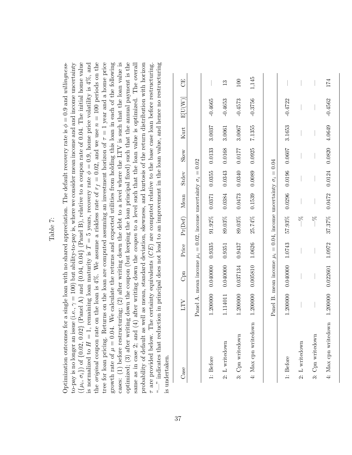|                                                                                                                                                                                                                                                                                                                                                                                                                                                                                                                                                                                                                                                                                                                                                                                                                                                                                                                                                           |                                                                                                                                                                                                                                                                                                             | 5                                                                           |                                                                            |           | 13             | 100              | 1,145                |                                                                            |           |                  |                  | 174                  |
|-----------------------------------------------------------------------------------------------------------------------------------------------------------------------------------------------------------------------------------------------------------------------------------------------------------------------------------------------------------------------------------------------------------------------------------------------------------------------------------------------------------------------------------------------------------------------------------------------------------------------------------------------------------------------------------------------------------------------------------------------------------------------------------------------------------------------------------------------------------------------------------------------------------------------------------------------------------|-------------------------------------------------------------------------------------------------------------------------------------------------------------------------------------------------------------------------------------------------------------------------------------------------------------|-----------------------------------------------------------------------------|----------------------------------------------------------------------------|-----------|----------------|------------------|----------------------|----------------------------------------------------------------------------|-----------|------------------|------------------|----------------------|
|                                                                                                                                                                                                                                                                                                                                                                                                                                                                                                                                                                                                                                                                                                                                                                                                                                                                                                                                                           |                                                                                                                                                                                                                                                                                                             | $\mathop{\rm E}\nolimits[\mathop{\rm U}\nolimits(\mathop{\rm W}\nolimits)]$ |                                                                            | $-0.4665$ | $-0.4653$      | $-0.4573$        | $-0.3756$            |                                                                            | $-0.4722$ |                  |                  | $-0.4562$            |
|                                                                                                                                                                                                                                                                                                                                                                                                                                                                                                                                                                                                                                                                                                                                                                                                                                                                                                                                                           |                                                                                                                                                                                                                                                                                                             | Kurt                                                                        |                                                                            | 3.0037    | 3.0061         | 3.0067           | 7.1355               |                                                                            | 3.1653    |                  |                  | 4.0649               |
|                                                                                                                                                                                                                                                                                                                                                                                                                                                                                                                                                                                                                                                                                                                                                                                                                                                                                                                                                           |                                                                                                                                                                                                                                                                                                             | Skew                                                                        |                                                                            | 0.0133    | 0.0168         | 0.0177           | 0.0925               |                                                                            | 0.0607    |                  |                  | 0.0820               |
|                                                                                                                                                                                                                                                                                                                                                                                                                                                                                                                                                                                                                                                                                                                                                                                                                                                                                                                                                           |                                                                                                                                                                                                                                                                                                             | Stdev                                                                       |                                                                            | 0.0355    | 0.0343         | 0.0340           | 0.0089               |                                                                            | 0.0196    |                  |                  | 0.0124               |
|                                                                                                                                                                                                                                                                                                                                                                                                                                                                                                                                                                                                                                                                                                                                                                                                                                                                                                                                                           |                                                                                                                                                                                                                                                                                                             | Mean                                                                        |                                                                            | 0.0371    | 0.0384         | 0.0473           | 0.1539               |                                                                            | 0.0296    |                  |                  | 0.0472               |
| $\sum_{i=1}^n$                                                                                                                                                                                                                                                                                                                                                                                                                                                                                                                                                                                                                                                                                                                                                                                                                                                                                                                                            |                                                                                                                                                                                                                                                                                                             | Pr(Def)                                                                     |                                                                            | $91.92\%$ | 89.03%         | 89.03%           | 25.74%               |                                                                            | 57.93%    | S,c              | $\frac{8}{1}$    | 37.37%               |
|                                                                                                                                                                                                                                                                                                                                                                                                                                                                                                                                                                                                                                                                                                                                                                                                                                                                                                                                                           |                                                                                                                                                                                                                                                                                                             | Price                                                                       |                                                                            | 0.9335    | 0.9351         | 0.9437           | 1.0626               |                                                                            | 1.0743    |                  |                  | 1.0972               |
| down the coupon (but keeping the loan principal fixed) such that the annual payment is the<br>after writing down the <i>coupon</i> to a level such that the loan value is optimized. The overall<br>a single loan with no shared appreciation. The default recovery rate is $\phi = 0.9$ and willingness-<br>(i.e., $\gamma = 100$ ) but ability-to-pay is, where we consider mean income and and income uncertainty                                                                                                                                                                                                                                                                                                                                                                                                                                                                                                                                      | certainty equivalents $(CE)$ are computed relative to the base case loan before restructuring.                                                                                                                                                                                                              | $\mathrm{Cpn}$                                                              | Panel A. mean income $\mu_i = 0.02$ , income uncertainty $\sigma_i = 0.02$ | 0.040000  | 0.040000       | 0.037134         | 0.005810             | Panel B. mean income $\mu_i = 0.04$ , income uncertainty $\sigma_i = 0.04$ | 0.040000  |                  |                  | 0.022601             |
|                                                                                                                                                                                                                                                                                                                                                                                                                                                                                                                                                                                                                                                                                                                                                                                                                                                                                                                                                           |                                                                                                                                                                                                                                                                                                             | LTV                                                                         |                                                                            | 1.200000  | 1.114011       | 1.200000         | 1.200000             |                                                                            | 1.200000  |                  |                  | 1.200000             |
| the <i>original</i> coupon rate on the loan is 4%. We assume a riskless rate of $r_f = 0.02$ , and we use $n = 100$ periods on the<br>tree for loan pricing. Returns on the loan are computed assuming an investment horizon of $\tau = 1$ year and a home price<br>cases: (1) before restructuring; (2) after writing down the debt to a level where the LTV is such that the loan value is<br>$(\{\mu_i, \sigma_i\})$ of $\{0.02, 0.02\}$ (Panel A) and $\{0.04, 0.04\}$ (Panel B), relative to a coupon rate of 0.04. The initial home value<br>is normalized to $H = 1$ , remaining loan maturity is $T = 5$ years, recovery rate $\phi = 0.9$ , home price volatility is $4\%$ , and<br>growth rate of $\mu = 0.04$ . We calculate the returns and expected utilities from holding this loan in each of the following<br>optimized; (3) after writing<br>same as in case 2; and $(4)$<br>to-pay is no longer an issue (<br>Optimization outcomes for | $-$ " indicates that reduction in principal does not lead to an improvement in the loan value, and hence no restructuring<br>probability of default as well as mean, standard deviation, skewness, and kurtosis of the return distribution with horizon<br>$\tau$ are provided below. The<br>is undertaken. | $\mathrm{Case}$                                                             |                                                                            | 1: Before | 2: L writedown | 3: Cpn writedown | 4: Max cpn writedown |                                                                            | 1: Before | $2: L$ writedown | 3: Cpn writedown | 4: Max cpn writedown |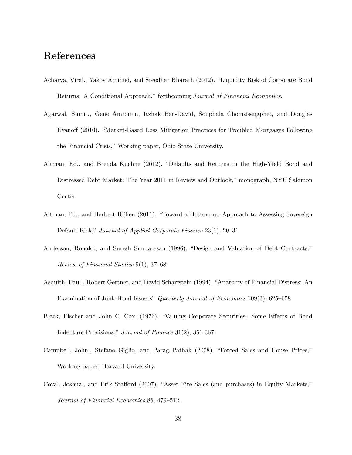# References

- Acharya, Viral., Yakov Amihud, and Sreedhar Bharath (2012). "Liquidity Risk of Corporate Bond Returns: A Conditional Approach," forthcoming Journal of Financial Economics.
- Agarwal, Sumit., Gene Amromin, Itzhak Ben-David, Souphala Chomsisengphet, and Douglas Evanoff (2010). "Market-Based Loss Mitigation Practices for Troubled Mortgages Following the Financial Crisis," Working paper, Ohio State University.
- Altman, Ed., and Brenda Kuehne (2012). "Defaults and Returns in the High-Yield Bond and Distressed Debt Market: The Year 2011 in Review and Outlook," monograph, NYU Salomon Center.
- Altman, Ed., and Herbert Rijken (2011). "Toward a Bottom-up Approach to Assessing Sovereign Default Risk," Journal of Applied Corporate Finance 23(1), 20–31.
- Anderson, Ronald., and Suresh Sundaresan (1996). "Design and Valuation of Debt Contracts," Review of Financial Studies 9(1), 37–68.
- Asquith, Paul., Robert Gertner, and David Scharfstein (1994). "Anatomy of Financial Distress: An Examination of Junk-Bond Issuers" Quarterly Journal of Economics 109(3), 625–658.
- Black, Fischer and John C. Cox, (1976). "Valuing Corporate Securities: Some Effects of Bond Indenture Provisions," Journal of Finance 31(2), 351-367.
- Campbell, John., Stefano Giglio, and Parag Pathak (2008). "Forced Sales and House Prices," Working paper, Harvard University.
- Coval, Joshua., and Erik Stafford (2007). "Asset Fire Sales (and purchases) in Equity Markets," Journal of Financial Economics 86, 479–512.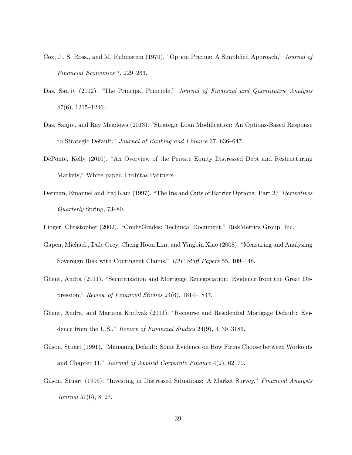- Cox, J., S. Ross., and M. Rubinstein (1979). "Option Pricing: A Simplified Approach," Journal of Financial Economics 7, 229–263.
- Das, Sanjiv (2012). "The Principal Principle," Journal of Financial and Quantitative Analysis 47(6), 1215–1246..
- Das, Sanjiv. and Ray Meadows (2013). "Strategic Loan Modification: An Options-Based Response to Strategic Default," Journal of Banking and Finance 37, 636–647.
- DePonte, Kelly (2010). "An Overview of the Private Equity Distressed Debt and Restructuring Markets," White paper, Probitas Partners.
- Derman, Emanuel and Iraj Kani (1997). "The Ins and Outs of Barrier Options: Part 2," Derivatives Quarterly Spring, 73–80.
- Finger, Christopher (2002). "CreditGrades: Technical Document," RiskMetrics Group, Inc.
- Gapen, Michael., Dale Grey, Cheng Hoon Lim, and Yingbin Xiao (2008). "Measuring and Analyzing Sovereign Risk with Contingent Claims," IMF Staff Papers 55, 109–148.
- Ghent, Andra (2011). "Securitization and Mortgage Renegotiation: Evidence from the Great Depression," Review of Financial Studies 24(6), 1814–1847.
- Ghent, Andra, and Mariana Kudlyak (2011). "Recourse and Residential Mortgage Default: Evidence from the U.S.," Review of Financial Studies 24(9), 3139–3186.
- Gilson, Stuart (1991). "Managing Default: Some Evidence on How Firms Choose between Workouts and Chapter 11," Journal of Applied Corporate Finance 4(2), 62–70.
- Gilson, Stuart (1995). "Investing in Distressed Situations: A Market Survey," Financial Analysts *Journal* 51(6), 8-27.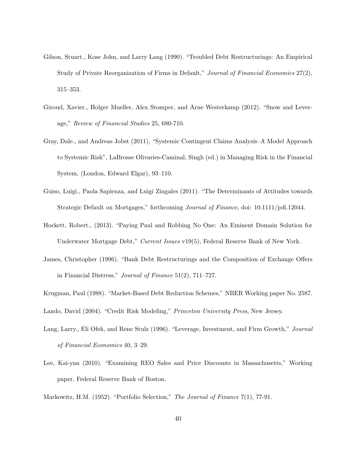- Gilson, Stuart., Kose John, and Larry Lang (1990). "Troubled Debt Restructurings: An Empirical Study of Private Reorganization of Firms in Default," Journal of Financial Economics 27(2), 315–353.
- Giroud, Xavier., Holger Mueller, Alex Stomper, and Arne Westerkamp (2012). "Snow and Leverage," Review of Financial Studies 25, 680-710.
- Gray, Dale., and Andreas Jobst (2011), "Systemic Contingent Claims Analysis–A Model Approach to Systemic Risk", LaBrosse Olivaries-Caminal, Singh (ed.) in Managing Risk in the Financial System, (London, Edward Elgar), 93–110.
- Guiso, Luigi., Paola Sapienza, and Luigi Zingales (2011). "The Determinants of Attitudes towards Strategic Default on Mortgages," forthcoming Journal of Finance, doi: 10.1111/jofi.12044.
- Hockett, Robert., (2013). "Paying Paul and Robbing No One: An Eminent Domain Solution for Underwater Mortgage Debt," Current Issues v19(5), Federal Reserve Bank of New York.
- James, Christopher (1996). "Bank Debt Restructurings and the Composition of Exchange Offers in Financial Distress," Journal of Finance 51(2), 711–727.
- Krugman, Paul (1988). "Market-Based Debt Reduction Schemes," NBER Working paper No. 2587.
- Lando, David (2004). "Credit Risk Modeling," Princeton University Press, New Jersey.
- Lang, Larry., Eli Ofek, and Rene Stulz (1996). "Leverage, Investment, and Firm Growth," Journal of Financial Economics 40, 3–29.
- Lee, Kai-yan (2010). "Examining REO Sales and Price Discounts in Massachusetts," Working paper, Federal Reserve Bank of Boston.

Markowitz, H.M. (1952). "Portfolio Selection," The Journal of Finance 7(1), 77-91.